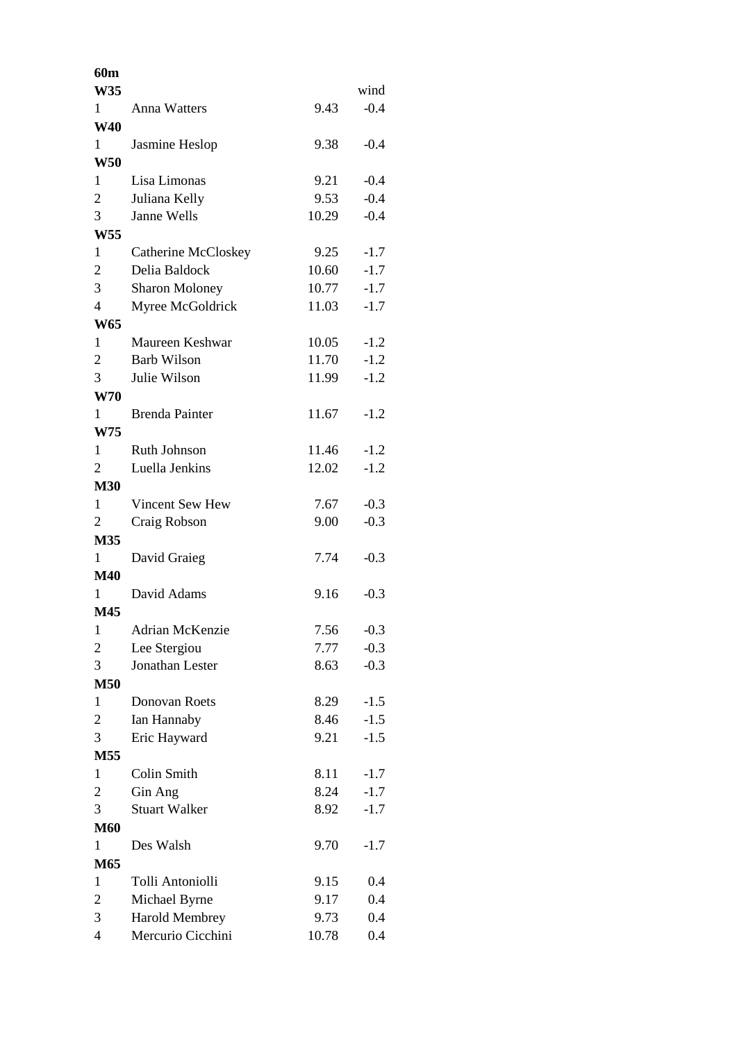| 60 <sub>m</sub> |                        |       |        |
|-----------------|------------------------|-------|--------|
| W35             |                        |       | wind   |
| $1 \quad$       | Anna Watters           | 9.43  | $-0.4$ |
| <b>W40</b>      |                        |       |        |
| 1               | Jasmine Heslop         | 9.38  | $-0.4$ |
| <b>W50</b>      |                        |       |        |
| 1               | Lisa Limonas           | 9.21  | $-0.4$ |
| $\overline{c}$  | Juliana Kelly          | 9.53  | $-0.4$ |
| 3               | Janne Wells            | 10.29 | $-0.4$ |
| <b>W55</b>      |                        |       |        |
| 1               | Catherine McCloskey    | 9.25  | $-1.7$ |
| $\overline{2}$  | Delia Baldock          | 10.60 | $-1.7$ |
| 3               | <b>Sharon Moloney</b>  | 10.77 | $-1.7$ |
| $\overline{4}$  | Myree McGoldrick       | 11.03 | $-1.7$ |
| <b>W65</b>      |                        |       |        |
| 1               | Maureen Keshwar        | 10.05 | $-1.2$ |
| $\overline{2}$  | <b>Barb Wilson</b>     | 11.70 | $-1.2$ |
| 3               | Julie Wilson           | 11.99 | $-1.2$ |
| <b>W70</b>      |                        |       |        |
| $\mathbf{1}$    | <b>Brenda Painter</b>  | 11.67 | $-1.2$ |
| W75             |                        |       |        |
| $\mathbf{1}$    | Ruth Johnson           | 11.46 | $-1.2$ |
| 2               | Luella Jenkins         | 12.02 | $-1.2$ |
| <b>M30</b>      |                        |       |        |
| $\mathbf{1}$    | Vincent Sew Hew        | 7.67  | $-0.3$ |
| 2               | Craig Robson           | 9.00  | $-0.3$ |
| M35             |                        |       |        |
| 1               | David Graieg           | 7.74  | $-0.3$ |
| <b>M40</b>      |                        |       |        |
| 1               | David Adams            | 9.16  | $-0.3$ |
| M45             |                        |       |        |
| $\mathbf{1}$    | <b>Adrian McKenzie</b> | 7.56  | $-0.3$ |
| $\overline{c}$  | Lee Stergiou           | 7.77  | $-0.3$ |
| 3               | Jonathan Lester        | 8.63  | $-0.3$ |
| <b>M50</b>      |                        |       |        |
| $\mathbf{1}$    | Donovan Roets          | 8.29  | $-1.5$ |
| $\overline{2}$  | Ian Hannaby            | 8.46  | $-1.5$ |
| 3               | Eric Hayward           | 9.21  | $-1.5$ |
| M55             |                        |       |        |
| 1               | Colin Smith            | 8.11  | $-1.7$ |
| $\overline{c}$  | Gin Ang                | 8.24  | $-1.7$ |
| 3               | <b>Stuart Walker</b>   | 8.92  | $-1.7$ |
| <b>M60</b>      |                        |       |        |
| $\mathbf{1}$    | Des Walsh              | 9.70  | $-1.7$ |
| M65             |                        |       |        |
| 1               | Tolli Antoniolli       | 9.15  | 0.4    |
| $\overline{c}$  | Michael Byrne          | 9.17  | 0.4    |
| 3               | <b>Harold Membrey</b>  | 9.73  | 0.4    |
| $\overline{4}$  | Mercurio Cicchini      | 10.78 | 0.4    |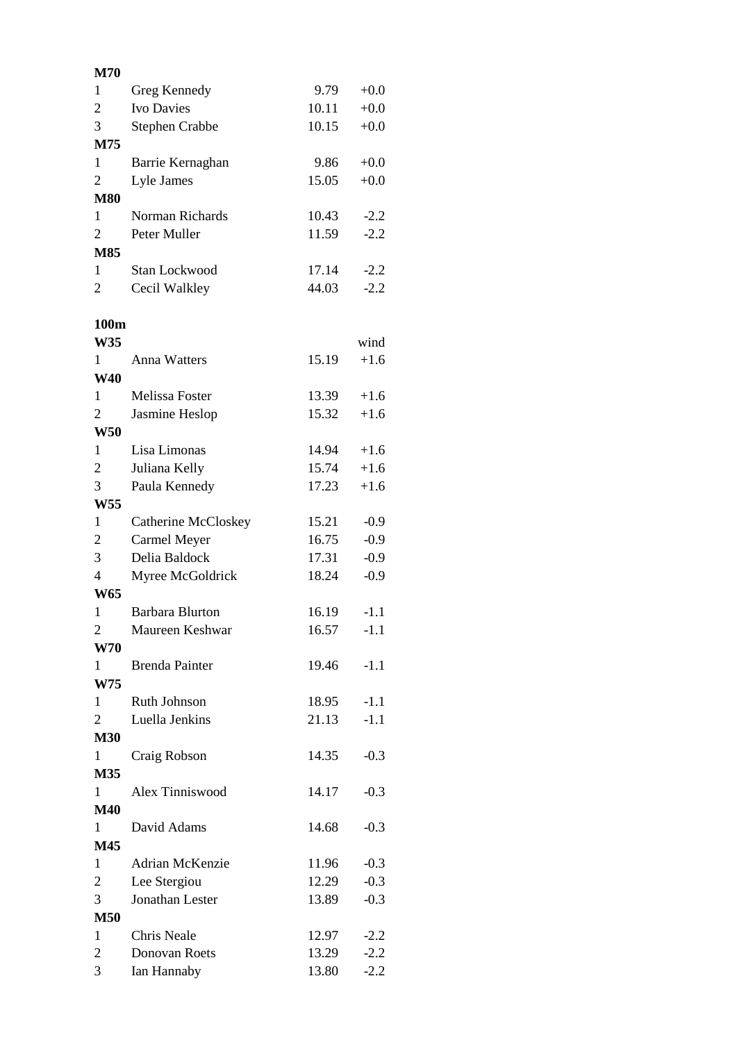| <b>M70</b>     |                        |       |        |
|----------------|------------------------|-------|--------|
| 1              | Greg Kennedy           | 9.79  | $+0.0$ |
| $\overline{2}$ | <b>Ivo Davies</b>      | 10.11 | $+0.0$ |
| 3              | <b>Stephen Crabbe</b>  | 10.15 | $+0.0$ |
| M75            |                        |       |        |
| 1              | Barrie Kernaghan       | 9.86  | $+0.0$ |
| $\overline{c}$ | Lyle James             | 15.05 | $+0.0$ |
| <b>M80</b>     |                        |       |        |
| 1              | Norman Richards        | 10.43 | $-2.2$ |
| $\overline{2}$ | Peter Muller           | 11.59 | $-2.2$ |
| M85            |                        |       |        |
| 1              | Stan Lockwood          | 17.14 | $-2.2$ |
| 2              | Cecil Walkley          | 44.03 | $-2.2$ |
|                |                        |       |        |
| 100m           |                        |       |        |
| <b>W35</b>     |                        |       | wind   |
| 1              | <b>Anna Watters</b>    | 15.19 | $+1.6$ |
| <b>W40</b>     |                        |       |        |
| 1              | Melissa Foster         | 13.39 | $+1.6$ |
| $\overline{c}$ | Jasmine Heslop         | 15.32 | $+1.6$ |
| W50            |                        |       |        |
| $\mathbf{1}$   | Lisa Limonas           |       | $+1.6$ |
|                |                        | 14.94 |        |
| $\overline{2}$ | Juliana Kelly          | 15.74 | $+1.6$ |
| 3              | Paula Kennedy          | 17.23 | $+1.6$ |
| <b>W55</b>     |                        |       |        |
| 1              | Catherine McCloskey    | 15.21 | $-0.9$ |
| $\overline{2}$ | <b>Carmel Meyer</b>    | 16.75 | $-0.9$ |
| 3              | Delia Baldock          | 17.31 | $-0.9$ |
| $\overline{4}$ | Myree McGoldrick       | 18.24 | $-0.9$ |
| <b>W65</b>     |                        |       |        |
| 1              | <b>Barbara Blurton</b> | 16.19 | $-1.1$ |
| 2              | Maureen Keshwar        | 16.57 | $-1.1$ |
| <b>W70</b>     |                        |       |        |
| $1 \quad$      | <b>Brenda Painter</b>  | 19.46 | $-1.1$ |
| W75            |                        |       |        |
| 1              | Ruth Johnson           | 18.95 | $-1.1$ |
| 2              | Luella Jenkins         | 21.13 | $-1.1$ |
| <b>M30</b>     |                        |       |        |
| $\mathbf{1}$   | Craig Robson           | 14.35 | $-0.3$ |
| M35            |                        |       |        |
| 1              | Alex Tinniswood        | 14.17 | $-0.3$ |
| <b>M40</b>     |                        |       |        |
| 1              | David Adams            | 14.68 | $-0.3$ |
| M45            |                        |       |        |
| 1              | Adrian McKenzie        | 11.96 | $-0.3$ |
| $\overline{2}$ | Lee Stergiou           | 12.29 | $-0.3$ |
| 3              | Jonathan Lester        | 13.89 | $-0.3$ |
| <b>M50</b>     |                        |       |        |
| $\mathbf{1}$   | Chris Neale            | 12.97 | $-2.2$ |
| $\overline{2}$ | Donovan Roets          | 13.29 | $-2.2$ |
| 3              | Ian Hannaby            | 13.80 | $-2.2$ |
|                |                        |       |        |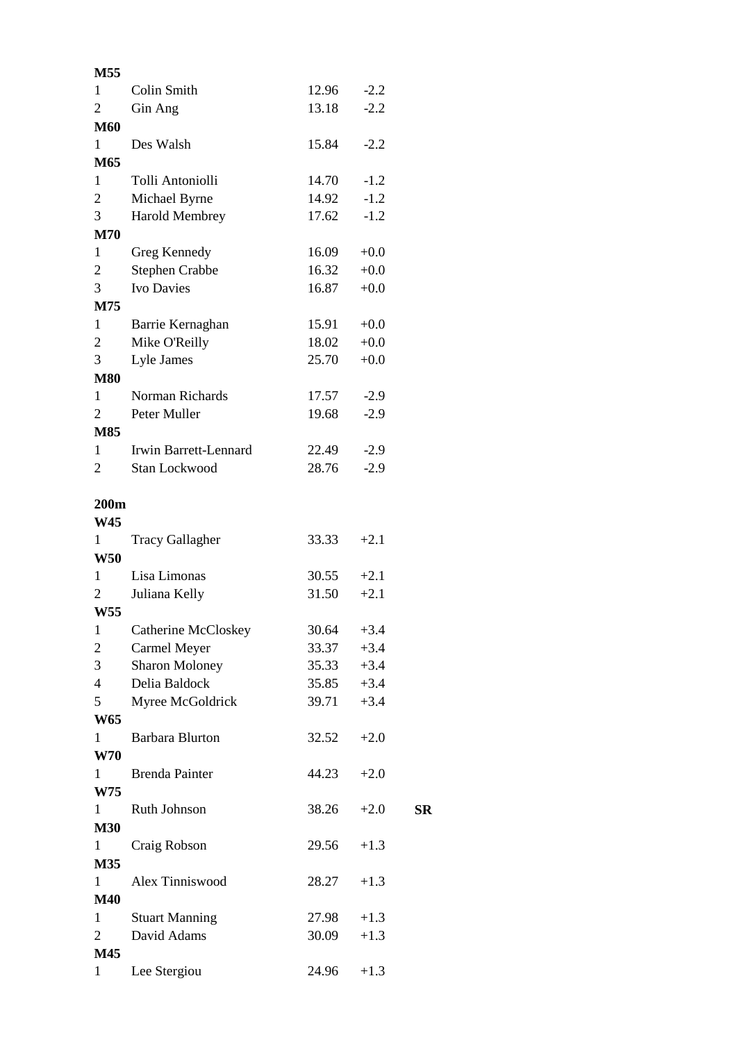| M55            |                            |       |        |    |
|----------------|----------------------------|-------|--------|----|
| 1              | Colin Smith                | 12.96 | $-2.2$ |    |
| $\overline{2}$ | Gin Ang                    | 13.18 | $-2.2$ |    |
| <b>M60</b>     |                            |       |        |    |
| $1 \quad$      | Des Walsh                  | 15.84 | $-2.2$ |    |
| M65            |                            |       |        |    |
| $\mathbf{1}$   | Tolli Antoniolli           | 14.70 | $-1.2$ |    |
| $\overline{c}$ | Michael Byrne              | 14.92 | $-1.2$ |    |
| 3              | <b>Harold Membrey</b>      | 17.62 | $-1.2$ |    |
| M70            |                            |       |        |    |
| $\mathbf{1}$   | Greg Kennedy               | 16.09 | $+0.0$ |    |
| $\overline{2}$ | <b>Stephen Crabbe</b>      | 16.32 | $+0.0$ |    |
| 3              | <b>Ivo Davies</b>          | 16.87 | $+0.0$ |    |
| M75            |                            |       |        |    |
| $\mathbf{1}$   | Barrie Kernaghan           | 15.91 | $+0.0$ |    |
| $\overline{2}$ | Mike O'Reilly              | 18.02 | $+0.0$ |    |
| 3              | Lyle James                 | 25.70 | $+0.0$ |    |
| <b>M80</b>     |                            |       |        |    |
| 1              | Norman Richards            | 17.57 | $-2.9$ |    |
| $\overline{2}$ | Peter Muller               | 19.68 | $-2.9$ |    |
| <b>M85</b>     |                            |       |        |    |
| 1              | Irwin Barrett-Lennard      | 22.49 | $-2.9$ |    |
| $\overline{2}$ | Stan Lockwood              | 28.76 | $-2.9$ |    |
| 200m<br>W45    |                            |       |        |    |
| 1              | <b>Tracy Gallagher</b>     |       |        |    |
|                |                            |       |        |    |
|                |                            | 33.33 | $+2.1$ |    |
| <b>W50</b>     |                            |       |        |    |
| 1              | Lisa Limonas               | 30.55 | $+2.1$ |    |
| 2              | Juliana Kelly              | 31.50 | $+2.1$ |    |
| <b>W55</b>     |                            |       |        |    |
| $\mathbf{1}$   | <b>Catherine McCloskey</b> | 30.64 | $+3.4$ |    |
| $\mathbf{2}$   | Carmel Meyer               | 33.37 | $+3.4$ |    |
| 3              | <b>Sharon Moloney</b>      | 35.33 | $+3.4$ |    |
| $\overline{4}$ | Delia Baldock              | 35.85 | $+3.4$ |    |
| 5              | Myree McGoldrick           | 39.71 | $+3.4$ |    |
| <b>W65</b>     |                            |       |        |    |
| $\mathbf{1}$   | <b>Barbara Blurton</b>     | 32.52 | $+2.0$ |    |
| <b>W70</b>     |                            |       |        |    |
| $\mathbf{1}$   | <b>Brenda Painter</b>      | 44.23 | $+2.0$ |    |
| W75            |                            |       |        |    |
| $\mathbf{1}$   | Ruth Johnson               | 38.26 | $+2.0$ | SR |
| <b>M30</b>     |                            |       |        |    |
| 1              | Craig Robson               | 29.56 | $+1.3$ |    |
| M35            |                            |       |        |    |
| 1              | Alex Tinniswood            | 28.27 | $+1.3$ |    |
| <b>M40</b>     |                            |       |        |    |
| 1              | <b>Stuart Manning</b>      | 27.98 | $+1.3$ |    |
| $\overline{2}$ | David Adams                | 30.09 | $+1.3$ |    |
| M45<br>1       | Lee Stergiou               | 24.96 | $+1.3$ |    |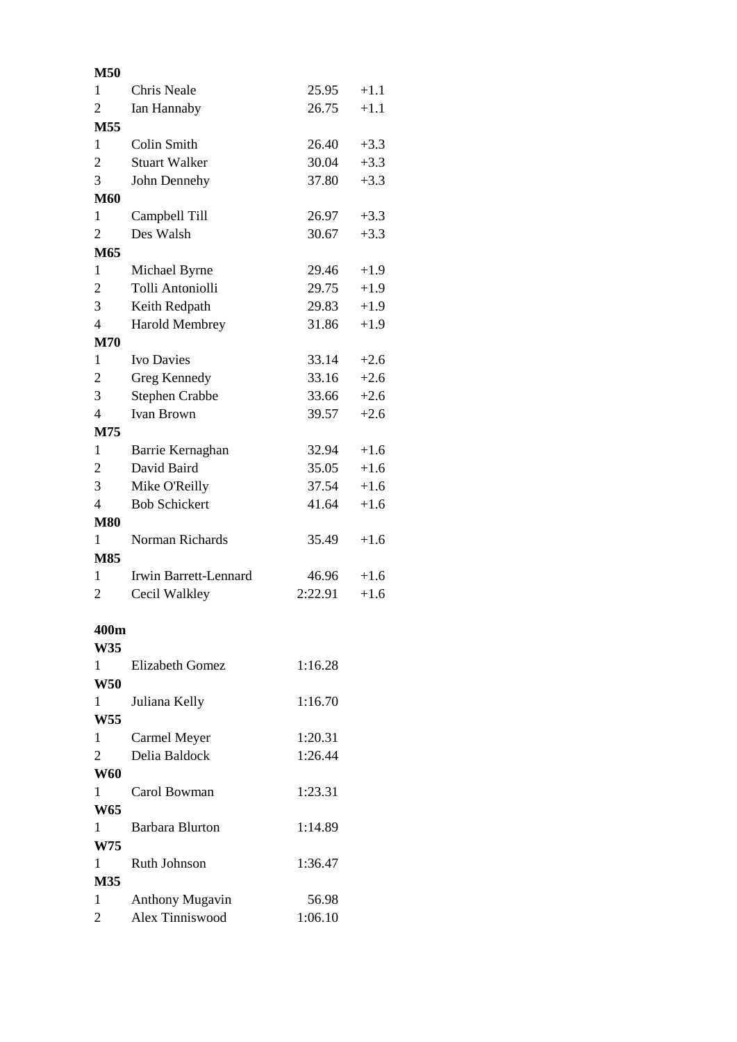| <b>M50</b>     |                                           |         |        |
|----------------|-------------------------------------------|---------|--------|
| 1              | <b>Chris Neale</b>                        | 25.95   | $+1.1$ |
| $\overline{c}$ | Ian Hannaby                               | 26.75   | $+1.1$ |
| M55            |                                           |         |        |
| 1              | Colin Smith                               | 26.40   | $+3.3$ |
| $\overline{2}$ | <b>Stuart Walker</b>                      | 30.04   | $+3.3$ |
| 3              | John Dennehy                              | 37.80   | $+3.3$ |
| <b>M60</b>     |                                           |         |        |
| 1              | Campbell Till                             | 26.97   | $+3.3$ |
| $\overline{2}$ | Des Walsh                                 | 30.67   | $+3.3$ |
| M65            |                                           |         |        |
| 1              | Michael Byrne                             | 29.46   | $+1.9$ |
| $\overline{2}$ | Tolli Antoniolli                          | 29.75   | $+1.9$ |
| 3              | Keith Redpath                             | 29.83   | $+1.9$ |
| $\overline{4}$ | <b>Harold Membrey</b>                     | 31.86   | $+1.9$ |
| <b>M70</b>     |                                           |         |        |
| 1              | <b>Ivo Davies</b>                         | 33.14   | $+2.6$ |
| $\mathfrak{2}$ | Greg Kennedy                              | 33.16   | $+2.6$ |
| 3              | <b>Stephen Crabbe</b>                     | 33.66   | $+2.6$ |
| $\overline{4}$ | <b>Ivan Brown</b>                         | 39.57   | $+2.6$ |
| M75            |                                           |         |        |
| 1              | Barrie Kernaghan                          | 32.94   | $+1.6$ |
| $\overline{c}$ | David Baird                               | 35.05   | $+1.6$ |
| 3              | Mike O'Reilly                             | 37.54   | $+1.6$ |
| $\overline{4}$ | <b>Bob Schickert</b>                      | 41.64   | $+1.6$ |
| <b>M80</b>     |                                           |         |        |
| 1              | Norman Richards                           | 35.49   | $+1.6$ |
| M85            |                                           |         |        |
| 1              | Irwin Barrett-Lennard                     | 46.96   | $+1.6$ |
| 2              | Cecil Walkley                             | 2:22.91 | $+1.6$ |
|                |                                           |         |        |
| 400m           |                                           |         |        |
| W35            |                                           |         |        |
| $1 \quad \Box$ | <b>Elizabeth Gomez</b>                    | 1:16.28 |        |
| <b>W50</b>     |                                           |         |        |
| 1              | Juliana Kelly                             | 1:16.70 |        |
| <b>W55</b>     |                                           |         |        |
| $\mathbf{1}$   | Carmel Meyer                              | 1:20.31 |        |
| 2              | Delia Baldock                             | 1:26.44 |        |
| <b>W60</b>     |                                           |         |        |
| $\mathbf{1}$   | Carol Bowman                              | 1:23.31 |        |
| <b>W65</b>     |                                           |         |        |
| $1 \quad \Box$ | <b>Barbara Blurton</b>                    | 1:14.89 |        |
| W75            |                                           |         |        |
| 1              | Ruth Johnson                              | 1:36.47 |        |
| M35            |                                           |         |        |
| 1              |                                           |         |        |
| $\overline{2}$ | <b>Anthony Mugavin</b><br>Alex Tinniswood | 56.98   |        |
|                |                                           | 1:06.10 |        |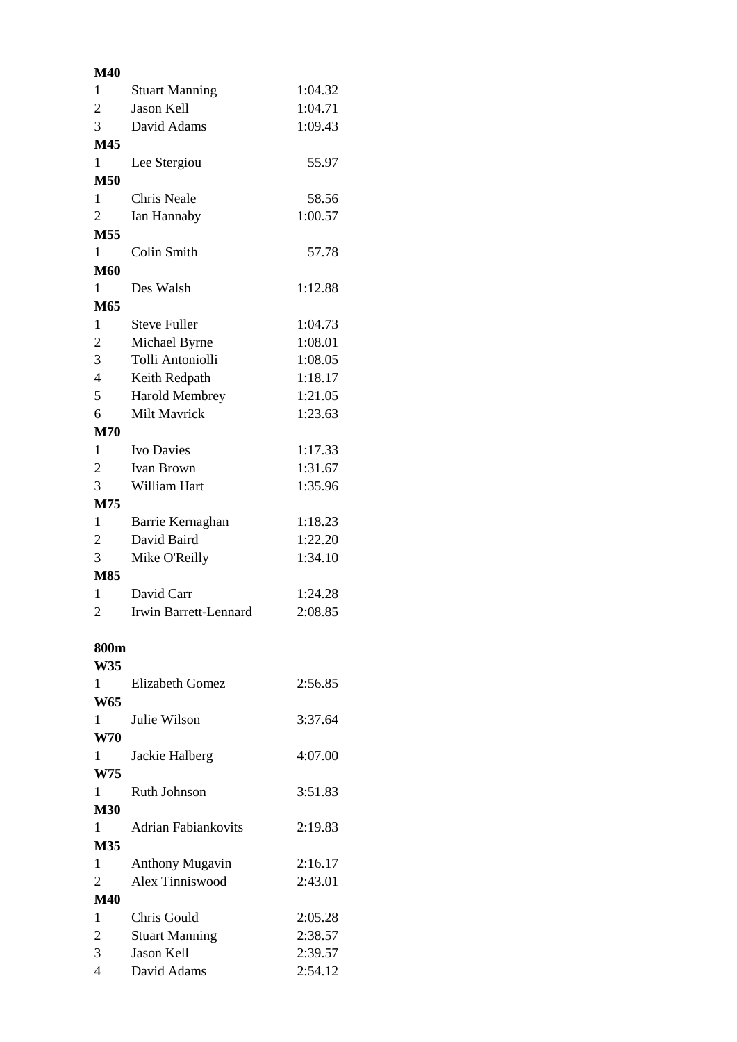| <b>M40</b>     |                            |         |
|----------------|----------------------------|---------|
| 1              | <b>Stuart Manning</b>      | 1:04.32 |
| $\overline{c}$ | Jason Kell                 | 1:04.71 |
| 3              | David Adams                | 1:09.43 |
| M45            |                            |         |
| 1              | Lee Stergiou               | 55.97   |
| M50            |                            |         |
| 1              | <b>Chris Neale</b>         | 58.56   |
| $\overline{2}$ | Ian Hannaby                | 1:00.57 |
| M55            |                            |         |
| $\mathbf{1}$   | Colin Smith                | 57.78   |
| <b>M60</b>     |                            |         |
| 1              | Des Walsh                  | 1:12.88 |
| M65            |                            |         |
| 1              | <b>Steve Fuller</b>        | 1:04.73 |
| $\overline{c}$ | Michael Byrne              | 1:08.01 |
| 3              | Tolli Antoniolli           | 1:08.05 |
| $\overline{4}$ | Keith Redpath              | 1:18.17 |
| 5              | <b>Harold Membrey</b>      | 1:21.05 |
| 6              | <b>Milt Mavrick</b>        | 1:23.63 |
| <b>M70</b>     |                            |         |
| 1              | <b>Ivo Davies</b>          | 1:17.33 |
| $\mathfrak{2}$ | Ivan Brown                 | 1:31.67 |
| 3              | William Hart               | 1:35.96 |
| M75            |                            |         |
| $\mathbf{1}$   | Barrie Kernaghan           | 1:18.23 |
| $\overline{c}$ | David Baird                | 1:22.20 |
| 3              | Mike O'Reilly              | 1:34.10 |
| <b>M85</b>     |                            |         |
| 1              | David Carr                 | 1:24.28 |
| $\overline{c}$ | Irwin Barrett-Lennard      | 2:08.85 |
|                |                            |         |
| 800m           |                            |         |
| W35            |                            |         |
| $\mathbf{1}$   | <b>Elizabeth Gomez</b>     | 2:56.85 |
| <b>W65</b>     |                            |         |
| 1              | Julie Wilson               | 3:37.64 |
| <b>W70</b>     |                            |         |
| 1              | Jackie Halberg             | 4:07.00 |
| <b>W75</b>     |                            |         |
| 1              | <b>Ruth Johnson</b>        | 3:51.83 |
| <b>M30</b>     |                            |         |
| 1              | <b>Adrian Fabiankovits</b> | 2:19.83 |
| M35            |                            |         |
| 1              | <b>Anthony Mugavin</b>     | 2:16.17 |
| 2              | Alex Tinniswood            | 2:43.01 |
| <b>M40</b>     |                            |         |
| 1              | Chris Gould                | 2:05.28 |
| $\overline{2}$ | <b>Stuart Manning</b>      | 2:38.57 |
| 3              | <b>Jason Kell</b>          | 2:39.57 |
| 4              | David Adams                | 2:54.12 |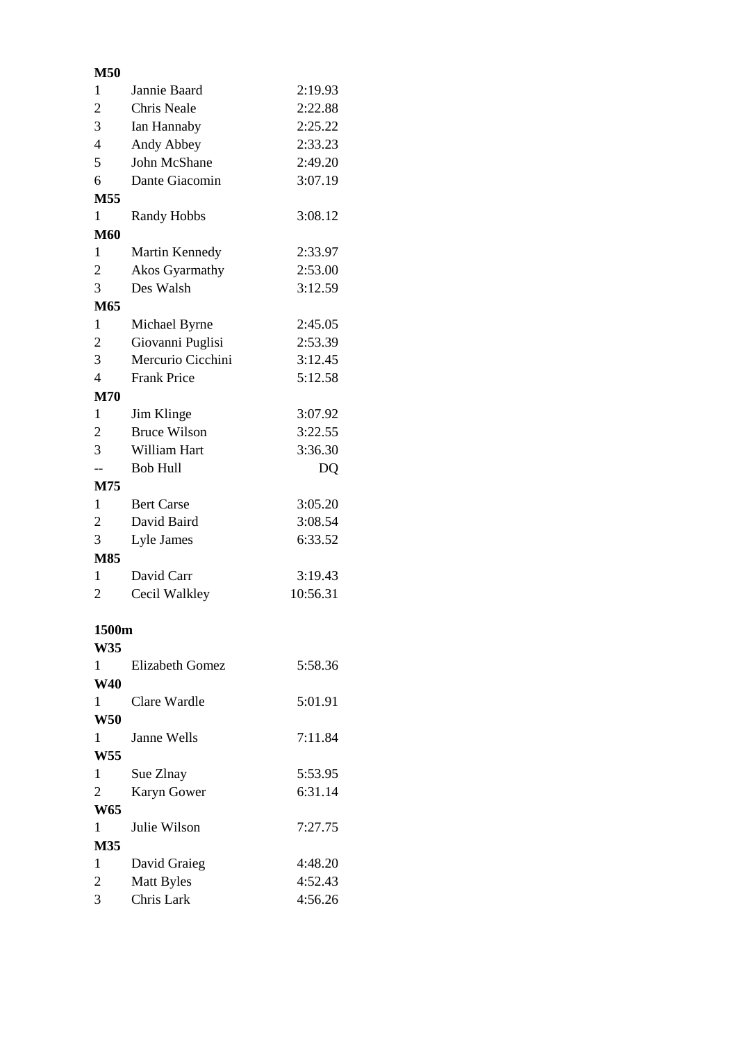| M50                      |                                 |          |
|--------------------------|---------------------------------|----------|
| 1                        | Jannie Baard                    | 2:19.93  |
| $\overline{c}$           | <b>Chris Neale</b>              | 2:22.88  |
| 3                        | Ian Hannaby                     | 2:25.22  |
| $\overline{4}$           | Andy Abbey                      | 2:33.23  |
| 5                        | John McShane                    | 2:49.20  |
| 6                        | Dante Giacomin                  | 3:07.19  |
| M55                      |                                 |          |
| 1                        | <b>Randy Hobbs</b>              | 3:08.12  |
| <b>M60</b>               |                                 |          |
| $\mathbf{1}$             | Martin Kennedy                  | 2:33.97  |
| $\overline{c}$           | Akos Gyarmathy                  | 2:53.00  |
| 3                        | Des Walsh                       | 3:12.59  |
| M65                      |                                 |          |
| 1                        | Michael Byrne                   | 2:45.05  |
| $\overline{2}$           | Giovanni Puglisi                | 2:53.39  |
| 3                        | Mercurio Cicchini               | 3:12.45  |
| $\overline{\mathcal{A}}$ | <b>Frank Price</b>              | 5:12.58  |
| <b>M70</b>               |                                 |          |
| 1                        | Jim Klinge                      | 3:07.92  |
| $\overline{c}$           | <b>Bruce Wilson</b>             | 3:22.55  |
| 3                        | William Hart                    | 3:36.30  |
|                          | <b>Bob Hull</b>                 | DQ       |
| M75                      |                                 |          |
| 1                        | <b>Bert Carse</b>               | 3:05.20  |
| $\overline{2}$           | David Baird                     | 3:08.54  |
| 3                        | Lyle James                      | 6:33.52  |
| M85                      |                                 |          |
| 1                        | David Carr                      | 3:19.43  |
| $\overline{2}$           | Cecil Walkley                   | 10:56.31 |
|                          |                                 |          |
| 1500m                    |                                 |          |
| W35                      |                                 |          |
| 1                        | <b>Elizabeth Gomez</b>          | 5:58.36  |
| <b>W40</b>               |                                 |          |
| 1                        | Clare Wardle                    | 5:01.91  |
| <b>W50</b>               |                                 |          |
| 1<br>W55                 | Janne Wells                     | 7:11.84  |
|                          |                                 | 5:53.95  |
| 1<br>$\overline{c}$      | Sue Zlnay                       | 6:31.14  |
|                          | Karyn Gower                     |          |
| <b>W65</b><br>1          | Julie Wilson                    |          |
| M35                      |                                 | 7:27.75  |
| 1                        |                                 | 4:48.20  |
| $\overline{c}$           | David Graieg                    | 4:52.43  |
| 3                        | <b>Matt Byles</b><br>Chris Lark |          |
|                          |                                 | 4:56.26  |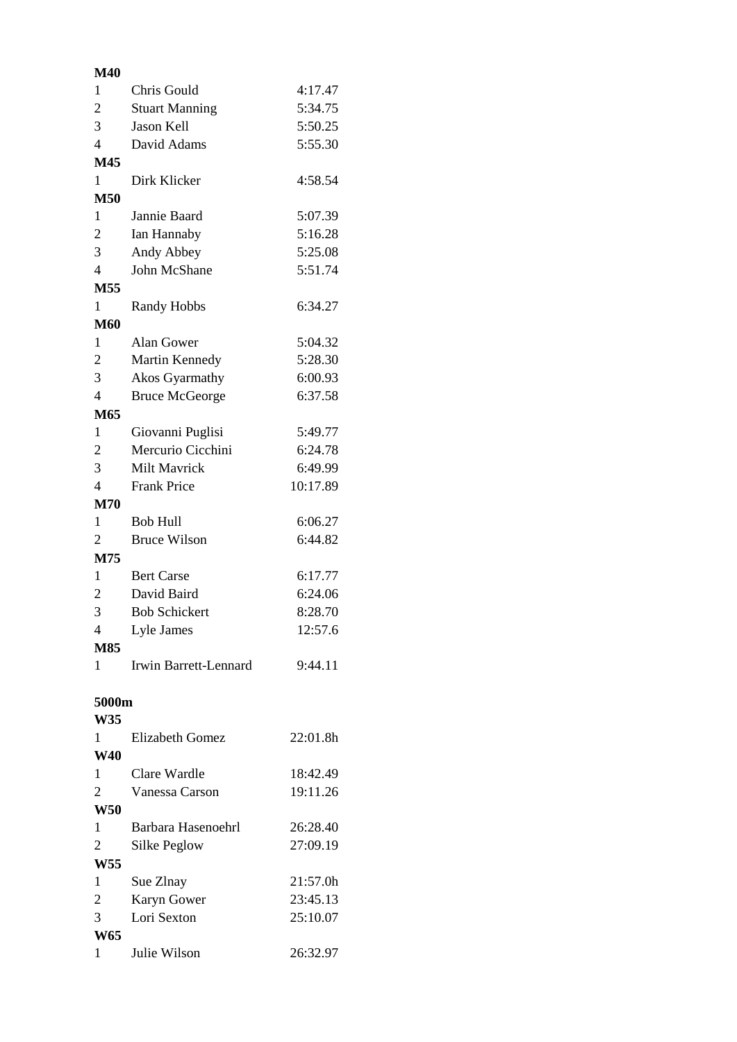| <b>M40</b>              |                        |          |
|-------------------------|------------------------|----------|
| 1                       | Chris Gould            | 4:17.47  |
| $\overline{c}$          | <b>Stuart Manning</b>  | 5:34.75  |
| 3                       | Jason Kell             | 5:50.25  |
| $\overline{4}$          | David Adams            | 5:55.30  |
| M45                     |                        |          |
| 1                       | Dirk Klicker           | 4:58.54  |
| M50                     |                        |          |
| 1                       | Jannie Baard           | 5:07.39  |
| $\overline{c}$          | Ian Hannaby            | 5:16.28  |
| 3                       | Andy Abbey             | 5:25.08  |
| $\overline{4}$          | <b>John McShane</b>    | 5:51.74  |
| M55                     |                        |          |
| 1                       | <b>Randy Hobbs</b>     | 6:34.27  |
| <b>M60</b>              |                        |          |
| 1                       | Alan Gower             | 5:04.32  |
| $\overline{c}$          | Martin Kennedy         | 5:28.30  |
| 3                       | Akos Gyarmathy         | 6:00.93  |
| $\overline{4}$          | <b>Bruce McGeorge</b>  | 6:37.58  |
| M65                     |                        |          |
| 1                       | Giovanni Puglisi       | 5:49.77  |
| $\overline{c}$          | Mercurio Cicchini      | 6:24.78  |
| 3                       | <b>Milt Mavrick</b>    | 6:49.99  |
| $\overline{4}$          | <b>Frank Price</b>     | 10:17.89 |
| <b>M70</b>              |                        |          |
| 1                       | <b>Bob Hull</b>        | 6:06.27  |
| 2                       | <b>Bruce Wilson</b>    | 6:44.82  |
| M75                     |                        |          |
| 1                       | <b>Bert Carse</b>      | 6:17.77  |
| $\overline{c}$          | David Baird            | 6:24.06  |
| 3                       | <b>Bob Schickert</b>   | 8:28.70  |
| 4                       | Lyle James             | 12:57.6  |
| M85                     |                        |          |
| 1                       | Irwin Barrett-Lennard  | 9:44.11  |
|                         |                        |          |
| 5000m                   |                        |          |
| W35                     |                        |          |
| $\mathbf{1}$            | <b>Elizabeth Gomez</b> | 22:01.8h |
| <b>W40</b>              |                        |          |
| 1                       | Clare Wardle           | 18:42.49 |
| $\overline{2}$          | Vanessa Carson         | 19:11.26 |
| <b>W50</b>              |                        |          |
| 1                       | Barbara Hasenoehrl     | 26:28.40 |
| 2                       | Silke Peglow           | 27:09.19 |
| W55                     |                        |          |
| 1                       | Sue Zlnay              | 21:57.0h |
| $\overline{\mathbf{c}}$ | Karyn Gower            | 23:45.13 |
| $\overline{3}$          | Lori Sexton            | 25:10.07 |
| <b>W65</b>              |                        |          |
| 1                       | Julie Wilson           | 26:32.97 |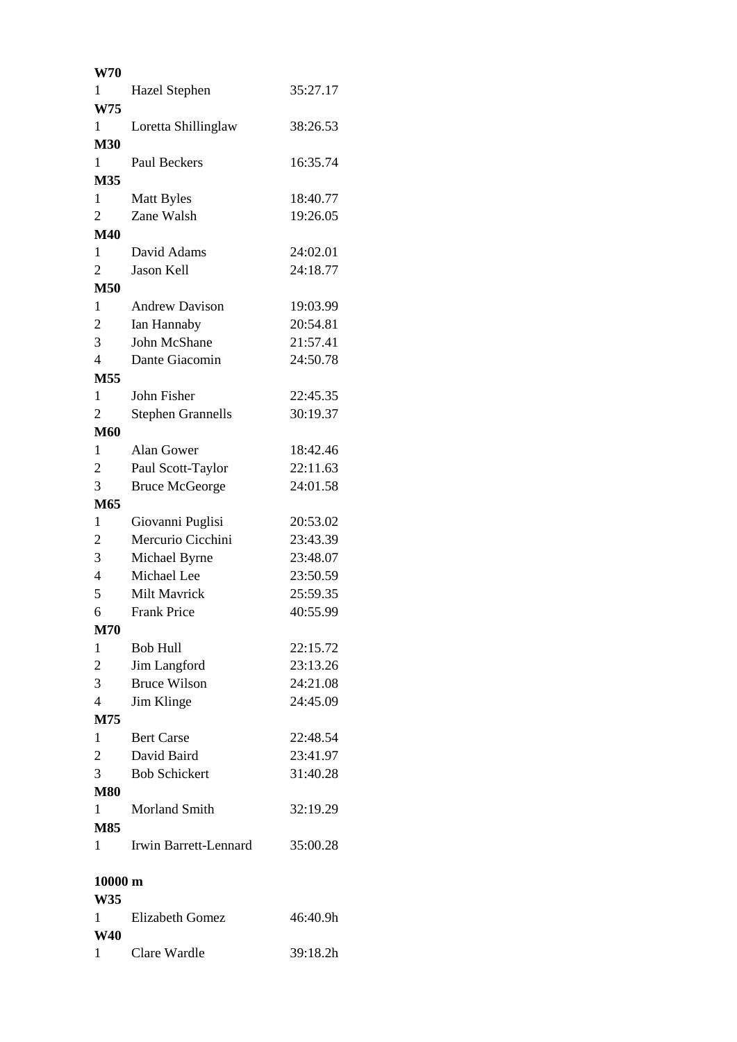| <b>W70</b>             |                          |          |
|------------------------|--------------------------|----------|
| $1 \quad \blacksquare$ | <b>Hazel Stephen</b>     | 35:27.17 |
| W75                    |                          |          |
| 1                      | Loretta Shillinglaw      | 38:26.53 |
| <b>M30</b>             |                          |          |
| $1 \quad$              | Paul Beckers             | 16:35.74 |
| M35                    |                          |          |
| 1                      | <b>Matt Byles</b>        | 18:40.77 |
| 2                      | Zane Walsh               | 19:26.05 |
| <b>M40</b>             |                          |          |
| $\mathbf{1}$           | David Adams              | 24:02.01 |
| 2                      | <b>Jason Kell</b>        | 24:18.77 |
| <b>M50</b>             |                          |          |
| 1                      | <b>Andrew Davison</b>    | 19:03.99 |
| 2                      | Ian Hannaby              | 20:54.81 |
| $\overline{3}$         | John McShane             | 21:57.41 |
| $\overline{4}$         | Dante Giacomin           | 24:50.78 |
| M55                    |                          |          |
| $\mathbf{1}$           | John Fisher              | 22:45.35 |
| 2                      | <b>Stephen Grannells</b> | 30:19.37 |
| <b>M60</b>             |                          |          |
| $1 \quad$              | Alan Gower               | 18:42.46 |
| $\overline{2}$         | Paul Scott-Taylor        | 22:11.63 |
| $\overline{3}$         | <b>Bruce McGeorge</b>    | 24:01.58 |
| M65                    |                          |          |
| $\mathbf{1}$           | Giovanni Puglisi         | 20:53.02 |
| 2                      | Mercurio Cicchini        | 23:43.39 |
| 3                      | Michael Byrne            | 23:48.07 |
| $\overline{4}$         | Michael Lee              | 23:50.59 |
| 5                      | Milt Mavrick             | 25:59.35 |
| 6                      | <b>Frank Price</b>       | 40:55.99 |
| <b>M70</b>             |                          |          |
| $\mathbf{1}$           | <b>Bob Hull</b>          | 22:15.72 |
| 2                      | Jim Langford             | 23:13.26 |
| 3                      | <b>Bruce Wilson</b>      | 24:21.08 |
| $\overline{4}$         | Jim Klinge               | 24:45.09 |
| M75                    |                          |          |
| $1 \quad$              | <b>Bert Carse</b>        | 22:48.54 |
| $\mathbf{2}$           | David Baird              | 23:41.97 |
| 3 <sup>1</sup>         | <b>Bob Schickert</b>     | 31:40.28 |
| <b>M80</b>             |                          |          |
| 1                      | <b>Morland Smith</b>     | 32:19.29 |
| <b>M85</b>             |                          |          |
| 1                      | Irwin Barrett-Lennard    | 35:00.28 |
| 10000 m                |                          |          |
| W35                    |                          |          |
| 1                      | <b>Elizabeth Gomez</b>   | 46:40.9h |
| <b>W40</b>             |                          |          |
| 1                      | Clare Wardle             | 39:18.2h |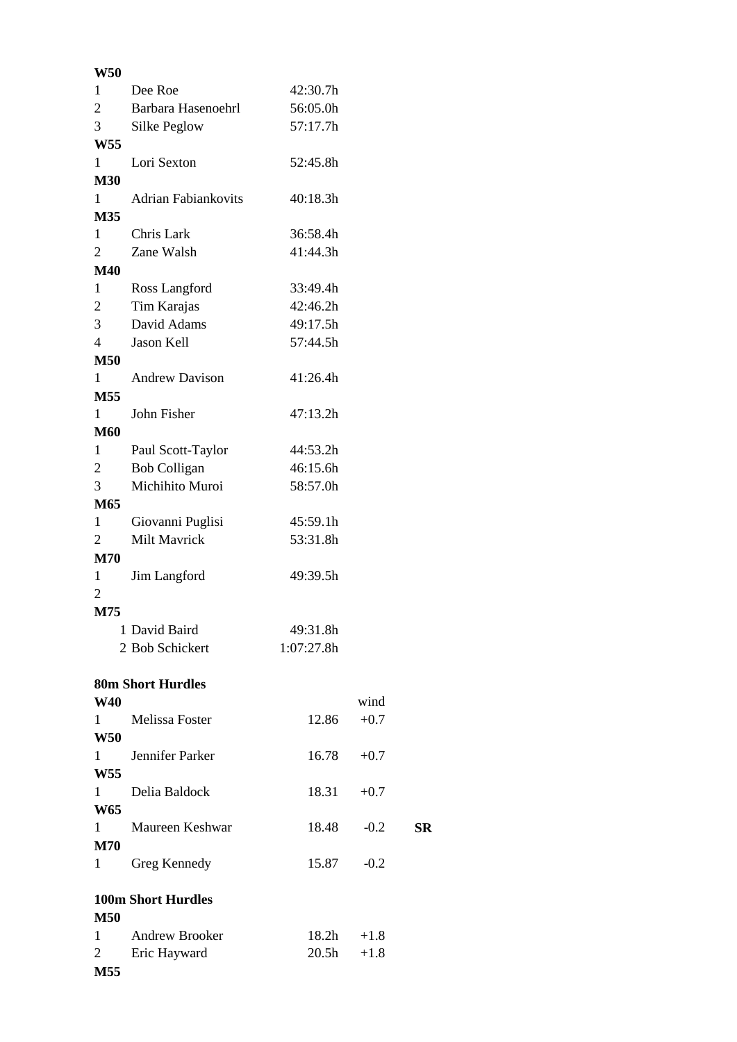| W50                    |                            |            |        |    |
|------------------------|----------------------------|------------|--------|----|
| $1 \quad \blacksquare$ | Dee Roe                    | 42:30.7h   |        |    |
| 2                      | Barbara Hasenoehrl         | 56:05.0h   |        |    |
| 3 <sup>7</sup>         | Silke Peglow               | 57:17.7h   |        |    |
| <b>W55</b>             |                            |            |        |    |
| $1 \quad \Box$         | Lori Sexton                | 52:45.8h   |        |    |
| <b>M30</b>             |                            |            |        |    |
| $1 \quad \Box$         | <b>Adrian Fabiankovits</b> | 40:18.3h   |        |    |
| M35                    |                            |            |        |    |
| $1 \quad \Box$         | Chris Lark                 | 36:58.4h   |        |    |
| $\overline{2}$         | Zane Walsh                 | 41:44.3h   |        |    |
| M40                    |                            |            |        |    |
| $1 \quad \blacksquare$ | Ross Langford              | 33:49.4h   |        |    |
| 2                      | Tim Karajas                | 42:46.2h   |        |    |
| 3                      | David Adams                | 49:17.5h   |        |    |
| $\overline{4}$         | Jason Kell                 | 57:44.5h   |        |    |
| M50                    |                            |            |        |    |
| $1 \quad \blacksquare$ | <b>Andrew Davison</b>      | 41:26.4h   |        |    |
| M55                    |                            |            |        |    |
| $1 \quad \Box$         | John Fisher                | 47:13.2h   |        |    |
| M60                    |                            |            |        |    |
| $1 \quad \blacksquare$ | Paul Scott-Taylor          | 44:53.2h   |        |    |
| $\overline{2}$         | Bob Colligan               | 46:15.6h   |        |    |
| 3 <sup>7</sup>         | Michihito Muroi            | 58:57.0h   |        |    |
| M65                    |                            |            |        |    |
| $1 \quad \Box$         | Giovanni Puglisi           | 45:59.1h   |        |    |
| 2                      | Milt Mavrick               | 53:31.8h   |        |    |
| <b>M70</b>             |                            |            |        |    |
| 1                      | Jim Langford               | 49:39.5h   |        |    |
| $\overline{2}$         |                            |            |        |    |
| M75                    |                            |            |        |    |
|                        | 1 David Baird              | 49:31.8h   |        |    |
|                        | 2 Bob Schickert            | 1:07:27.8h |        |    |
|                        |                            |            |        |    |
|                        | <b>80m Short Hurdles</b>   |            |        |    |
| <b>W40</b>             |                            |            | wind   |    |
|                        | 1 Melissa Foster           | 12.86      | $+0.7$ |    |
| <b>W50</b>             |                            |            |        |    |
| $1 \quad \Box$         | Jennifer Parker            | 16.78      | $+0.7$ |    |
| W55                    |                            |            |        |    |
|                        | 1 Delia Baldock            | 18.31      | $+0.7$ |    |
| <b>W65</b>             |                            |            |        |    |
|                        | 1 Maureen Keshwar          | 18.48      | $-0.2$ | SR |
| <b>M70</b>             |                            |            |        |    |
| 1                      | Greg Kennedy               | 15.87      | $-0.2$ |    |
|                        |                            |            |        |    |
|                        | <b>100m Short Hurdles</b>  |            |        |    |
| <b>M50</b>             |                            |            |        |    |
| $1 \quad$              | <b>Andrew Brooker</b>      | 18.2h      | $+1.8$ |    |
| $\overline{2}$         | Eric Hayward               | 20.5h      | $+1.8$ |    |
| M55                    |                            |            |        |    |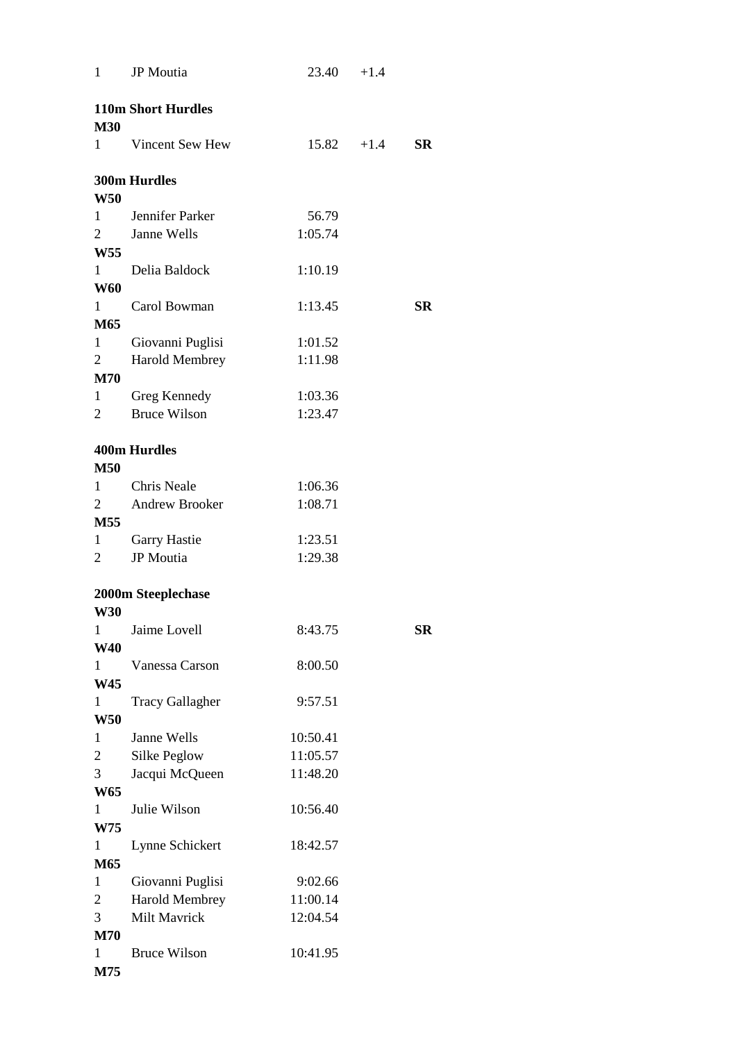| $\mathbf{1}$               | JP Moutia                 | 23.40    | $+1.4$       |           |
|----------------------------|---------------------------|----------|--------------|-----------|
| <b>M30</b>                 | <b>110m Short Hurdles</b> |          |              |           |
| $1 \quad \Box$             | Vincent Sew Hew           |          | $15.82 +1.4$ | <b>SR</b> |
| <b>W50</b>                 | <b>300m Hurdles</b>       |          |              |           |
|                            | 1 Jennifer Parker         | 56.79    |              |           |
|                            | 2 Janne Wells             | 1:05.74  |              |           |
| <b>W55</b>                 |                           |          |              |           |
| $1 \quad \Box$             | Delia Baldock             | 1:10.19  |              |           |
| <b>W60</b>                 |                           |          |              |           |
| $1 \quad \Box$             | Carol Bowman              | 1:13.45  |              | <b>SR</b> |
| M65                        |                           |          |              |           |
| $1 \quad \blacksquare$     | Giovanni Puglisi          | 1:01.52  |              |           |
| $\overline{2}$             | <b>Harold Membrey</b>     | 1:11.98  |              |           |
| <b>M70</b>                 |                           |          |              |           |
| $\mathbf{1}$               | Greg Kennedy              | 1:03.36  |              |           |
| $\overline{2}$             | <b>Bruce Wilson</b>       | 1:23.47  |              |           |
|                            |                           |          |              |           |
| <b>M50</b>                 | <b>400m Hurdles</b>       |          |              |           |
|                            | 1 Chris Neale             | 1:06.36  |              |           |
| $\overline{2}$             | <b>Andrew Brooker</b>     | 1:08.71  |              |           |
| M55                        |                           |          |              |           |
| $\mathbf 1$                | <b>Garry Hastie</b>       | 1:23.51  |              |           |
| 2                          | JP Moutia                 | 1:29.38  |              |           |
|                            |                           |          |              |           |
| <b>W30</b>                 | 2000m Steeplechase        |          |              |           |
| $\mathbf{1}$               | Jaime Lovell              | 8:43.75  |              | SR        |
| <b>W40</b><br>$\mathbf{1}$ | Vanessa Carson            | 8:00.50  |              |           |
| W45                        |                           |          |              |           |
| $\mathbf{1}$               | <b>Tracy Gallagher</b>    | 9:57.51  |              |           |
| <b>W50</b>                 |                           |          |              |           |
| $\mathbf{1}$               | Janne Wells               | 10:50.41 |              |           |
| $\overline{2}$             | Silke Peglow              | 11:05.57 |              |           |
| $\overline{3}$             | Jacqui McQueen            | 11:48.20 |              |           |
| <b>W65</b>                 |                           |          |              |           |
| $\mathbf{1}$               | Julie Wilson              | 10:56.40 |              |           |
| W75                        |                           |          |              |           |
| 1                          | Lynne Schickert           | 18:42.57 |              |           |
| M65                        |                           |          |              |           |
| $\mathbf{1}$               | Giovanni Puglisi          | 9:02.66  |              |           |
| $\overline{2}$             | <b>Harold Membrey</b>     | 11:00.14 |              |           |
| 3                          | Milt Mavrick              | 12:04.54 |              |           |
| <b>M70</b>                 |                           |          |              |           |
| $\mathbf{1}$               | <b>Bruce Wilson</b>       | 10:41.95 |              |           |
| M75                        |                           |          |              |           |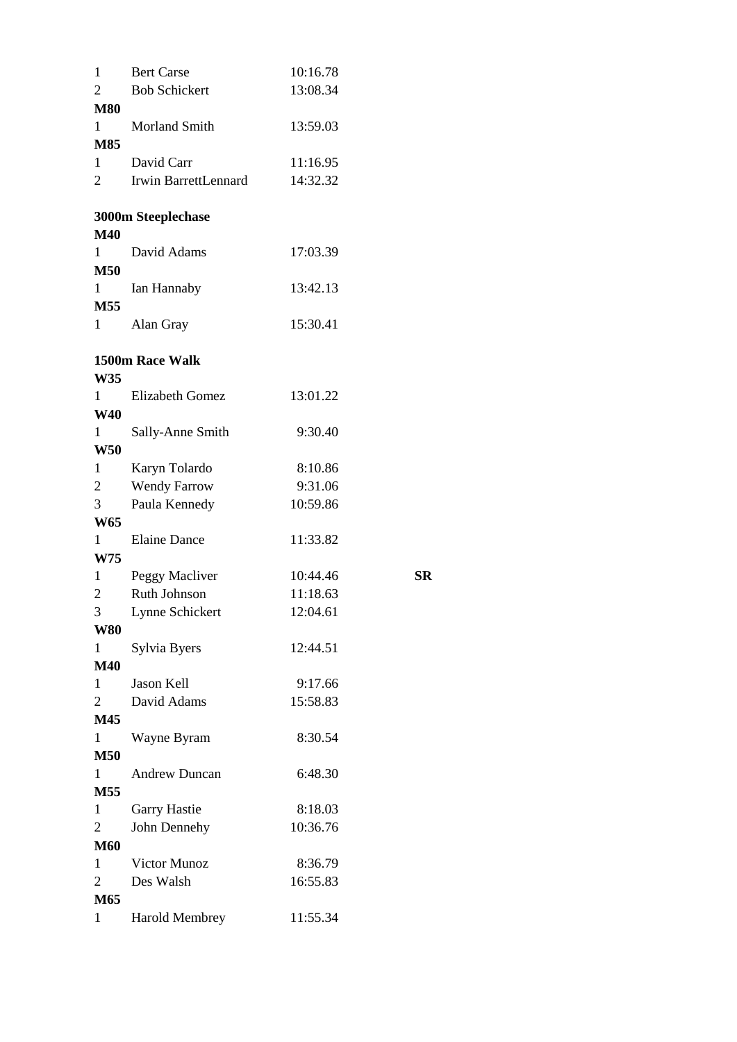| 1              | <b>Bert Carse</b>         | 10:16.78 |           |
|----------------|---------------------------|----------|-----------|
| $\overline{2}$ | <b>Bob Schickert</b>      | 13:08.34 |           |
| <b>M80</b>     |                           |          |           |
| 1              | Morland Smith             | 13:59.03 |           |
| <b>M85</b>     |                           |          |           |
| 1              | David Carr                | 11:16.95 |           |
| $\overline{2}$ | Irwin BarrettLennard      | 14:32.32 |           |
|                |                           |          |           |
|                | <b>3000m Steeplechase</b> |          |           |
| <b>M40</b>     |                           |          |           |
| $1 \quad \Box$ | David Adams               | 17:03.39 |           |
| <b>M50</b>     |                           |          |           |
| 1              | Ian Hannaby               | 13:42.13 |           |
| M55            |                           |          |           |
| $1 \quad \Box$ | Alan Gray                 | 15:30.41 |           |
|                |                           |          |           |
|                | 1500m Race Walk           |          |           |
| W35            |                           |          |           |
|                | 1 Elizabeth Gomez         | 13:01.22 |           |
| <b>W40</b>     |                           |          |           |
| $\mathbf{1}$   | Sally-Anne Smith          | 9:30.40  |           |
| <b>W50</b>     |                           |          |           |
| $\mathbf{1}$   | Karyn Tolardo             | 8:10.86  |           |
| $\overline{2}$ | <b>Wendy Farrow</b>       | 9:31.06  |           |
| 3              | Paula Kennedy             | 10:59.86 |           |
| <b>W65</b>     |                           |          |           |
| 1              | <b>Elaine Dance</b>       | 11:33.82 |           |
| W75            |                           |          |           |
| $\mathbf{1}$   | Peggy Macliver            | 10:44.46 | <b>SR</b> |
| $\overline{2}$ | Ruth Johnson              | 11:18.63 |           |
| 3              | Lynne Schickert           | 12:04.61 |           |
| <b>W80</b>     |                           |          |           |
| $\mathbf{1}$   | Sylvia Byers              | 12:44.51 |           |
| <b>M40</b>     |                           |          |           |
| $\mathbf{1}$   | Jason Kell                | 9:17.66  |           |
| $\overline{2}$ | David Adams               | 15:58.83 |           |
| M45            |                           |          |           |
| 1              | Wayne Byram               | 8:30.54  |           |
| <b>M50</b>     |                           |          |           |
| $\mathbf{1}$   | <b>Andrew Duncan</b>      | 6:48.30  |           |
| M55            |                           |          |           |
| $\mathbf{1}$   | <b>Garry Hastie</b>       | 8:18.03  |           |
| $\overline{2}$ | John Dennehy              | 10:36.76 |           |
| <b>M60</b>     |                           |          |           |
| 1              | Victor Munoz              | 8:36.79  |           |
| $\overline{2}$ | Des Walsh                 | 16:55.83 |           |
| M65            |                           |          |           |
| 1              | <b>Harold Membrey</b>     | 11:55.34 |           |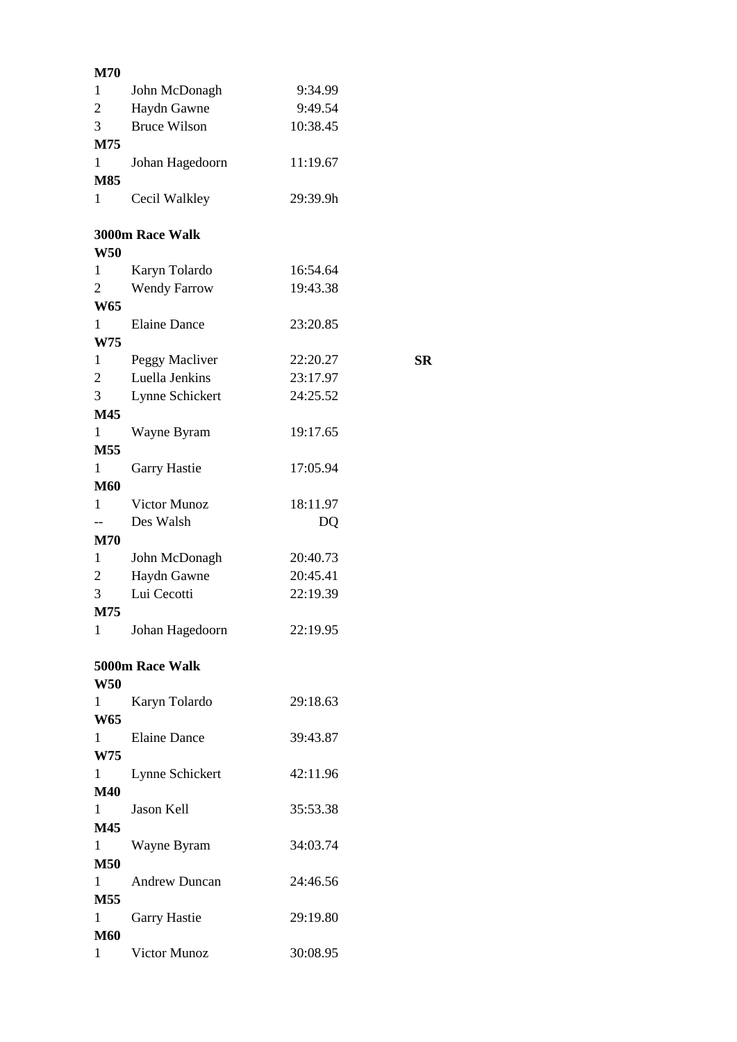| <b>M70</b>                   |                      |          |    |
|------------------------------|----------------------|----------|----|
| 1                            | John McDonagh        | 9:34.99  |    |
| 2                            | Haydn Gawne          | 9:49.54  |    |
| 3 <sup>7</sup>               | <b>Bruce Wilson</b>  | 10:38.45 |    |
| M75                          |                      |          |    |
| 1                            | Johan Hagedoorn      | 11:19.67 |    |
| M85                          |                      |          |    |
| 1                            | Cecil Walkley        | 29:39.9h |    |
|                              | 3000m Race Walk      |          |    |
| <b>W50</b>                   |                      |          |    |
| 1                            | Karyn Tolardo        | 16:54.64 |    |
| 2                            | <b>Wendy Farrow</b>  | 19:43.38 |    |
| <b>W65</b>                   |                      |          |    |
| 1                            | <b>Elaine Dance</b>  | 23:20.85 |    |
| <b>W75</b>                   |                      |          |    |
| $\mathbf{1}$                 | Peggy Macliver       | 22:20.27 | SR |
| $\overline{2}$               | Luella Jenkins       | 23:17.97 |    |
| 3                            | Lynne Schickert      | 24:25.52 |    |
| <b>M45</b>                   |                      |          |    |
| $\mathbf{1}$                 | Wayne Byram          | 19:17.65 |    |
| M55                          |                      |          |    |
| 1                            | <b>Garry Hastie</b>  | 17:05.94 |    |
| <b>M60</b>                   |                      |          |    |
| 1                            | Victor Munoz         | 18:11.97 |    |
|                              | Des Walsh            | DQ       |    |
| <b>M70</b>                   |                      |          |    |
| 1                            | John McDonagh        | 20:40.73 |    |
| $\overline{2}$               | Haydn Gawne          | 20:45.41 |    |
| 3                            | Lui Cecotti          | 22:19.39 |    |
| M75                          |                      |          |    |
| $1 \quad \blacksquare$       | Johan Hagedoorn      | 22:19.95 |    |
|                              | 5000m Race Walk      |          |    |
| <b>W50</b>                   |                      |          |    |
| $1 \quad \blacksquare$       | Karyn Tolardo        | 29:18.63 |    |
| <b>W65</b>                   |                      |          |    |
| <b>W75</b>                   | 1 Elaine Dance       | 39:43.87 |    |
|                              |                      |          |    |
| $1 \quad \blacksquare$       | Lynne Schickert      | 42:11.96 |    |
| M40                          | 1 Jason Kell         |          |    |
| M45                          |                      | 35:53.38 |    |
| 1                            |                      | 34:03.74 |    |
|                              | Wayne Byram          |          |    |
| <b>M50</b><br>$1 \quad \Box$ | <b>Andrew Duncan</b> | 24:46.56 |    |
| M55                          |                      |          |    |
| $1 \quad \blacksquare$       | <b>Garry Hastie</b>  | 29:19.80 |    |
| <b>M60</b>                   |                      |          |    |
| 1                            | Victor Munoz         | 30:08.95 |    |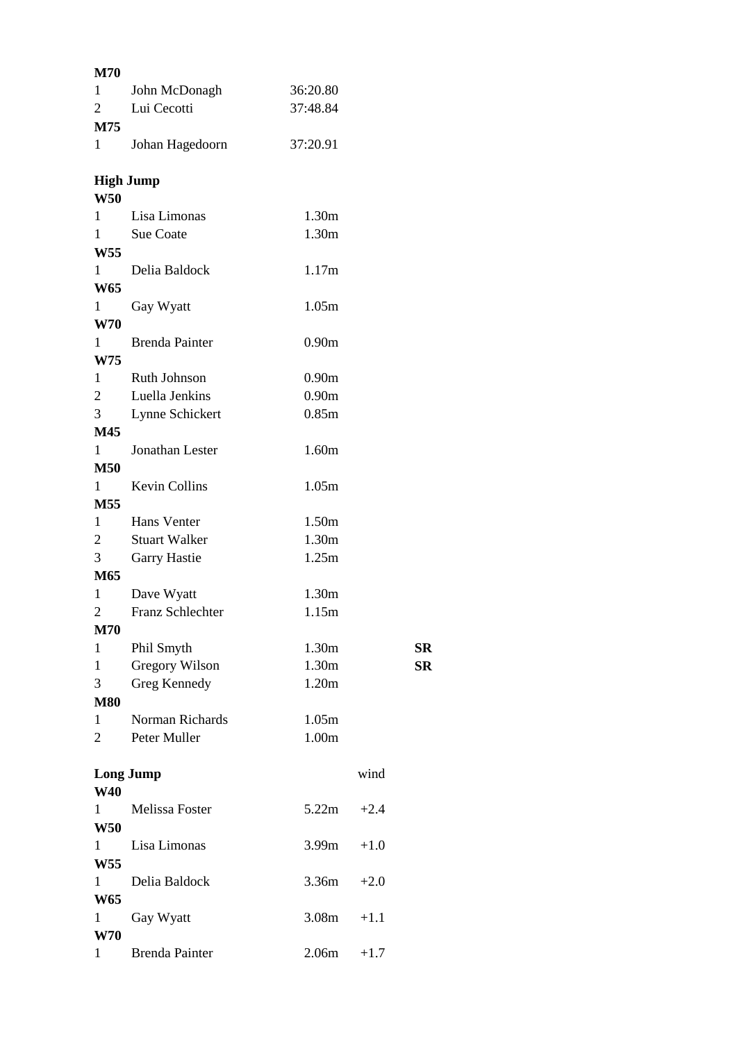| M70                                  |                       |                   |        |           |
|--------------------------------------|-----------------------|-------------------|--------|-----------|
| $\mathbf{1}$                         | John McDonagh         | 36:20.80          |        |           |
| $\overline{2}$                       | Lui Cecotti           | 37:48.84          |        |           |
| M75                                  |                       |                   |        |           |
| $1 \quad \Box$                       | Johan Hagedoorn       | 37:20.91          |        |           |
|                                      |                       |                   |        |           |
|                                      | <b>High Jump</b>      |                   |        |           |
| <b>W50</b>                           |                       |                   |        |           |
|                                      | 1 Lisa Limonas        | 1.30m             |        |           |
|                                      | 1 Sue Coate           | 1.30m             |        |           |
| W55                                  |                       |                   |        |           |
| $1 \quad \blacksquare$               | Delia Baldock         | 1.17m             |        |           |
| <b>W65</b>                           |                       |                   |        |           |
| $1 \quad \Box$                       | Gay Wyatt             | 1.05m             |        |           |
| <b>W70</b>                           |                       |                   |        |           |
| $1 \quad \Box$                       | <b>Brenda Painter</b> | 0.90 <sub>m</sub> |        |           |
| <b>W75</b>                           |                       |                   |        |           |
| $1 \quad \blacksquare$               | <b>Ruth Johnson</b>   | 0.90 <sub>m</sub> |        |           |
| $\overline{2}$                       | Luella Jenkins        | 0.90m             |        |           |
| 3 <sup>7</sup>                       | Lynne Schickert       | 0.85m             |        |           |
| M45                                  |                       |                   |        |           |
| $1 \quad \Box$                       | Jonathan Lester       | 1.60m             |        |           |
| <b>M50</b>                           |                       |                   |        |           |
|                                      | 1 Kevin Collins       | 1.05m             |        |           |
| M55                                  |                       |                   |        |           |
| $\mathbf{1}$                         | Hans Venter           | 1.50m             |        |           |
| $\overline{2}$                       | <b>Stuart Walker</b>  | 1.30m             |        |           |
| 3                                    | <b>Garry Hastie</b>   | 1.25m             |        |           |
| M65                                  |                       |                   |        |           |
| 1                                    | Dave Wyatt            | 1.30m             |        |           |
| $\overline{2}$                       | Franz Schlechter      | 1.15m             |        |           |
| M70                                  |                       |                   |        |           |
| 1                                    | Phil Smyth            | 1.30m             |        | <b>SR</b> |
| $\mathbf{1}$                         | <b>Gregory Wilson</b> | 1.30m             |        | SR        |
| 3                                    | <b>Greg Kennedy</b>   | 1.20m             |        |           |
| <b>M80</b>                           |                       |                   |        |           |
| 1                                    | Norman Richards       | 1.05m             |        |           |
| $\overline{2}$                       | Peter Muller          | 1.00 <sub>m</sub> |        |           |
|                                      |                       |                   | wind   |           |
|                                      | <b>Long Jump</b>      |                   |        |           |
| <b>W40</b><br>$1 \quad \Box$         |                       |                   |        |           |
| <b>W50</b>                           | Melissa Foster        | 5.22m             | $+2.4$ |           |
|                                      |                       |                   |        |           |
| $1 \quad \Box$                       | Lisa Limonas          | 3.99 <sub>m</sub> | $+1.0$ |           |
| <b>W55</b>                           |                       |                   |        |           |
| $1 \quad \Box$                       | Delia Baldock         | 3.36m             | $+2.0$ |           |
| <b>W65</b>                           |                       |                   |        |           |
| $1 \quad \blacksquare$<br><b>W70</b> | Gay Wyatt             | 3.08m             | $+1.1$ |           |
| $\mathbf{1}$                         | <b>Brenda Painter</b> | 2.06 <sub>m</sub> | $+1.7$ |           |
|                                      |                       |                   |        |           |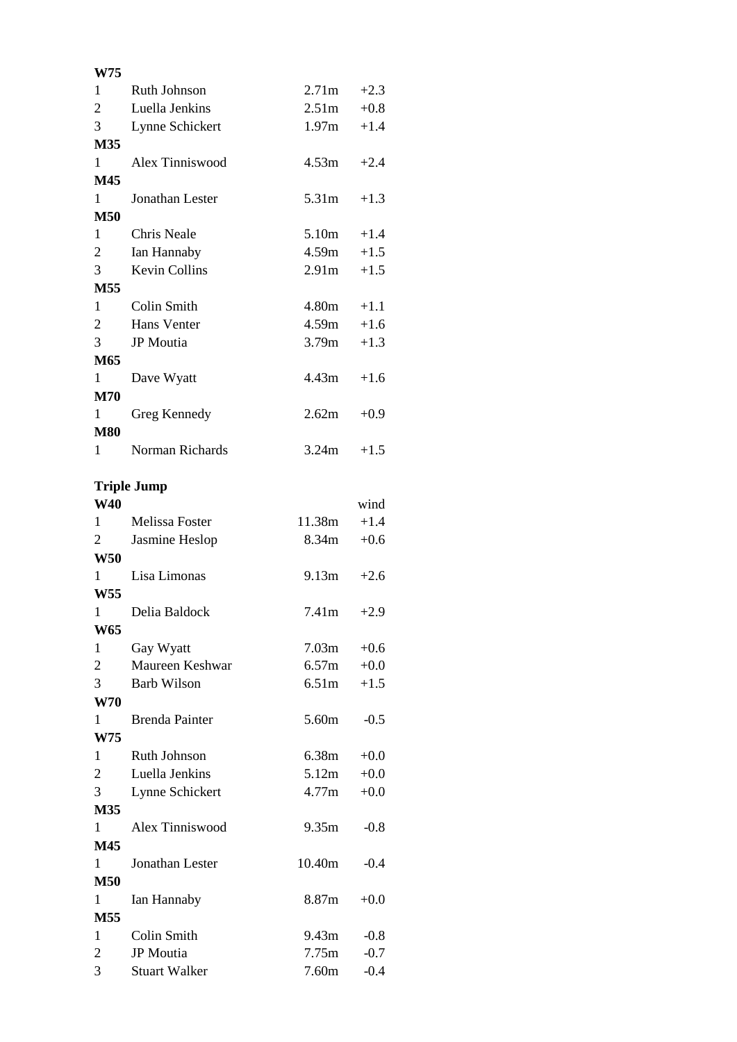| <b>W75</b>     |                      |                   |        |
|----------------|----------------------|-------------------|--------|
| 1              | Ruth Johnson         | 2.71m             | $+2.3$ |
| $\overline{2}$ | Luella Jenkins       | 2.51m             | $+0.8$ |
| 3              | Lynne Schickert      | 1.97m             | $+1.4$ |
| M35            |                      |                   |        |
| 1              | Alex Tinniswood      | 4.53m             | $+2.4$ |
| M45            |                      |                   |        |
| 1              | Jonathan Lester      | 5.31m             | $+1.3$ |
| <b>M50</b>     |                      |                   |        |
| 1              | Chris Neale          | $5.10m + 1.4$     |        |
| $\overline{2}$ | Ian Hannaby          | $4.59m + 1.5$     |        |
| 3              | <b>Kevin Collins</b> | 2.91 <sub>m</sub> | $+1.5$ |
| M55            |                      |                   |        |
| $\mathbf{1}$   | Colin Smith          | 4.80m             | $+1.1$ |
| $\overline{2}$ | Hans Venter          | $4.59m + 1.6$     |        |
| 3              | JP Moutia            | $3.79m + 1.3$     |        |
| M65            |                      |                   |        |
| 1              | Dave Wyatt           | 4.43m             | $+1.6$ |
| <b>M70</b>     |                      |                   |        |
| 1              | Greg Kennedy         | 2.62m             | $+0.9$ |
| <b>M80</b>     |                      |                   |        |
| 1              | Norman Richards      | 3.24m             | $+1.5$ |

## **Triple Jump**

| <b>W40</b>      |                       |                   | wind   |
|-----------------|-----------------------|-------------------|--------|
| $\mathbf{1}$    | Melissa Foster        | 11.38m            | $+1.4$ |
| $\overline{2}$  | Jasmine Heslop        | 8.34m             | $+0.6$ |
| <b>W50</b>      |                       |                   |        |
| $\mathbf{1}$    | Lisa Limonas          | 9.13m             | $+2.6$ |
| W <sub>55</sub> |                       |                   |        |
| 1               | Delia Baldock         | 7.41 <sub>m</sub> | $+2.9$ |
| <b>W65</b>      |                       |                   |        |
| 1               | Gay Wyatt             | 7.03 <sub>m</sub> | $+0.6$ |
| $\overline{2}$  | Maureen Keshwar       | 6.57m             | $+0.0$ |
| 3               | <b>Barb Wilson</b>    | 6.51m             | $+1.5$ |
| <b>W70</b>      |                       |                   |        |
| 1               | <b>Brenda Painter</b> | 5.60m             | $-0.5$ |
| W75             |                       |                   |        |
| $\mathbf{1}$    | Ruth Johnson          | 6.38m             | $+0.0$ |
| $\overline{2}$  | Luella Jenkins        | 5.12m             | $+0.0$ |
| 3               | Lynne Schickert       | 4.77m             | $+0.0$ |
| M35             |                       |                   |        |
| $\mathbf{1}$    | Alex Tinniswood       | 9.35m             | $-0.8$ |
| M45             |                       |                   |        |
| $\mathbf{1}$    | Jonathan Lester       | 10.40m            | $-0.4$ |
| <b>M50</b>      |                       |                   |        |
| 1               | Ian Hannaby           | 8.87m             | $+0.0$ |
| M55             |                       |                   |        |
| $\mathbf{1}$    | Colin Smith           | 9.43 <sub>m</sub> | $-0.8$ |
| $\mathfrak{2}$  | JP Moutia             | 7.75m             | $-0.7$ |
| 3               | <b>Stuart Walker</b>  | 7.60m             | $-0.4$ |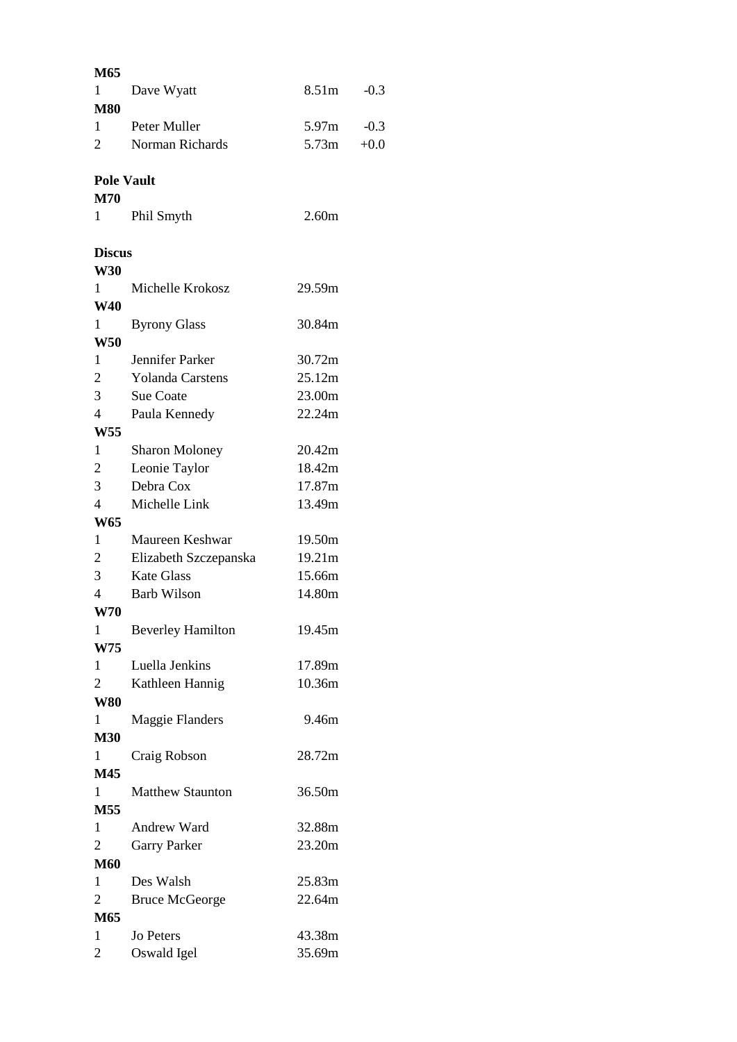| M65               |                          |                   |        |
|-------------------|--------------------------|-------------------|--------|
| 1                 | Dave Wyatt               | 8.51 <sub>m</sub> | $-0.3$ |
| <b>M80</b>        |                          |                   |        |
| 1                 | Peter Muller             | 5.97m             | $-0.3$ |
| $\overline{2}$    | Norman Richards          | 5.73 <sub>m</sub> | $+0.0$ |
|                   |                          |                   |        |
| <b>Pole Vault</b> |                          |                   |        |
| <b>M70</b>        |                          |                   |        |
| 1                 | Phil Smyth               | 2.60m             |        |
|                   |                          |                   |        |
| <b>Discus</b>     |                          |                   |        |
| <b>W30</b>        |                          |                   |        |
| 1                 | Michelle Krokosz         | 29.59m            |        |
| <b>W40</b>        |                          |                   |        |
| $1 \quad$         | <b>Byrony Glass</b>      | 30.84m            |        |
| <b>W50</b>        |                          |                   |        |
| $\mathbf{1}$      | Jennifer Parker          | 30.72m            |        |
| $\overline{2}$    | <b>Yolanda Carstens</b>  | 25.12m            |        |
| 3                 | <b>Sue Coate</b>         | 23.00m            |        |
| $\overline{4}$    | Paula Kennedy            | 22.24m            |        |
| <b>W55</b>        |                          |                   |        |
| $\mathbf{1}$      | <b>Sharon Moloney</b>    | 20.42m            |        |
| $\overline{c}$    | Leonie Taylor            | 18.42m            |        |
| 3                 | Debra Cox                | 17.87m            |        |
| $\overline{4}$    | Michelle Link            | 13.49m            |        |
| <b>W65</b>        |                          |                   |        |
| $\mathbf{1}$      | Maureen Keshwar          | 19.50m            |        |
| $\overline{2}$    | Elizabeth Szczepanska    | 19.21m            |        |
| 3                 | <b>Kate Glass</b>        | 15.66m            |        |
| 4                 | <b>Barb Wilson</b>       | 14.80m            |        |
| <b>W70</b>        |                          |                   |        |
| 1                 | <b>Beverley Hamilton</b> | 19.45m            |        |
| W75               |                          |                   |        |
| 1                 | Luella Jenkins           | 17.89m            |        |
| 2                 | Kathleen Hannig          | 10.36m            |        |
| <b>W80</b>        |                          |                   |        |
| 1                 | <b>Maggie Flanders</b>   | 9.46m             |        |
| <b>M30</b>        |                          |                   |        |
| 1                 | Craig Robson             | 28.72m            |        |
| M45               |                          |                   |        |
| $\mathbf{1}$      | <b>Matthew Staunton</b>  | 36.50m            |        |
| M55               |                          |                   |        |
| 1                 | Andrew Ward              | 32.88m            |        |
| 2                 | <b>Garry Parker</b>      | 23.20m            |        |
| <b>M60</b>        |                          |                   |        |
| 1                 | Des Walsh                | 25.83m            |        |
| $\overline{2}$    | <b>Bruce McGeorge</b>    | 22.64m            |        |
| M65               |                          |                   |        |
| 1                 | Jo Peters                | 43.38m            |        |
| $\overline{c}$    | Oswald Igel              | 35.69m            |        |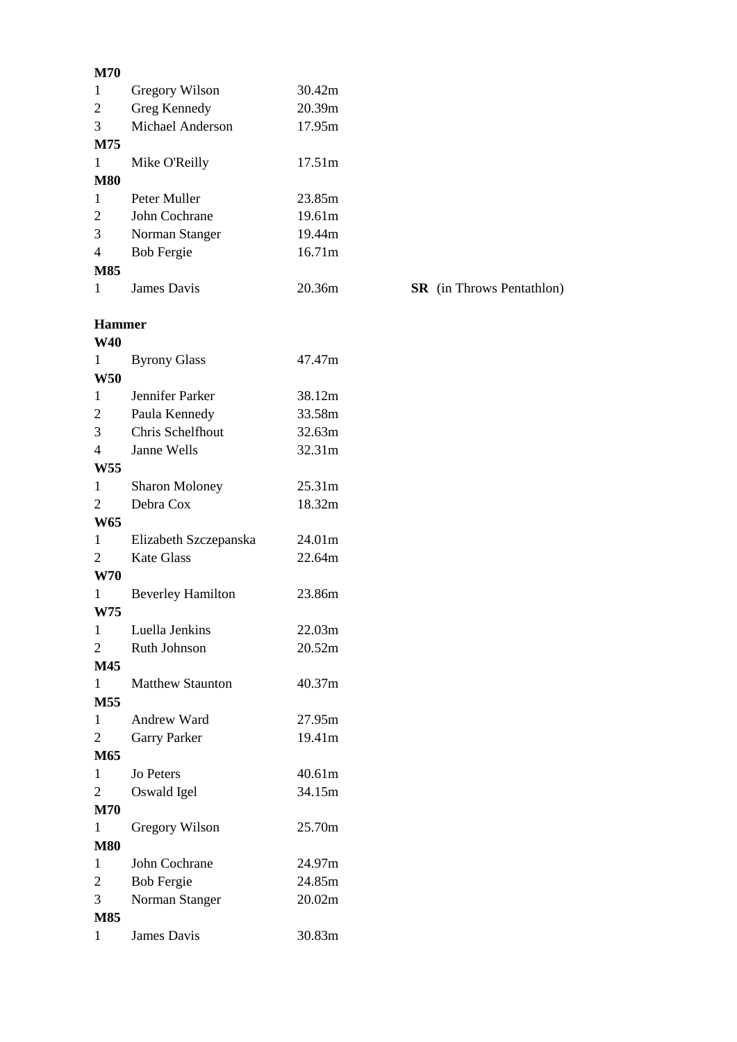| M70                          |                          |        |
|------------------------------|--------------------------|--------|
| 1                            | Gregory Wilson           | 30.42m |
| 2                            | <b>Greg Kennedy</b>      | 20.39m |
| $\overline{3}$               | <b>Michael Anderson</b>  | 17.95m |
| M75                          |                          |        |
| 1                            | Mike O'Reilly            | 17.51m |
| <b>M80</b>                   |                          |        |
| $\mathbf{1}$                 | Peter Muller             | 23.85m |
| $\overline{2}$               | John Cochrane            | 19.61m |
| 3                            | Norman Stanger           | 19.44m |
| $\overline{4}$               | <b>Bob Fergie</b>        | 16.71m |
| <b>M85</b>                   |                          |        |
| 1                            | <b>James Davis</b>       | 20.36m |
|                              |                          |        |
| <b>Hammer</b>                |                          |        |
| <b>W40</b>                   |                          |        |
| 1                            | <b>Byrony Glass</b>      | 47.47m |
| <b>W50</b>                   |                          |        |
| 1                            | Jennifer Parker          | 38.12m |
| 2                            | Paula Kennedy            | 33.58m |
| 3                            | Chris Schelfhout         | 32.63m |
| $\overline{4}$               | Janne Wells              | 32.31m |
| <b>W55</b>                   |                          |        |
| 1                            | <b>Sharon Moloney</b>    | 25.31m |
| $\overline{2}$               | Debra Cox                | 18.32m |
| <b>W65</b>                   |                          |        |
| 1                            | Elizabeth Szczepanska    | 24.01m |
| $\overline{2}$<br><b>W70</b> | <b>Kate Glass</b>        | 22.64m |
| 1                            |                          | 23.86m |
| <b>W75</b>                   | <b>Beverley Hamilton</b> |        |
| 1                            | Luella Jenkins           | 22.03m |
| 2                            | Ruth Johnson             | 20.52m |
| M45                          |                          |        |
| 1                            | <b>Matthew Staunton</b>  | 40.37m |
| M55                          |                          |        |
| 1                            | Andrew Ward              | 27.95m |
| $\overline{2}$               | <b>Garry Parker</b>      | 19.41m |
| M65                          |                          |        |
| 1                            | Jo Peters                | 40.61m |
| 2                            | Oswald Igel              | 34.15m |
| M70                          |                          |        |
| 1                            | Gregory Wilson           | 25.70m |
| <b>M80</b>                   |                          |        |
| 1                            | John Cochrane            | 24.97m |
| 2                            | <b>Bob Fergie</b>        | 24.85m |
| 3                            | Norman Stanger           | 20.02m |
| M85                          |                          |        |
| 1                            | James Davis              | 30.83m |

**SR** (in Throws Pentathlon)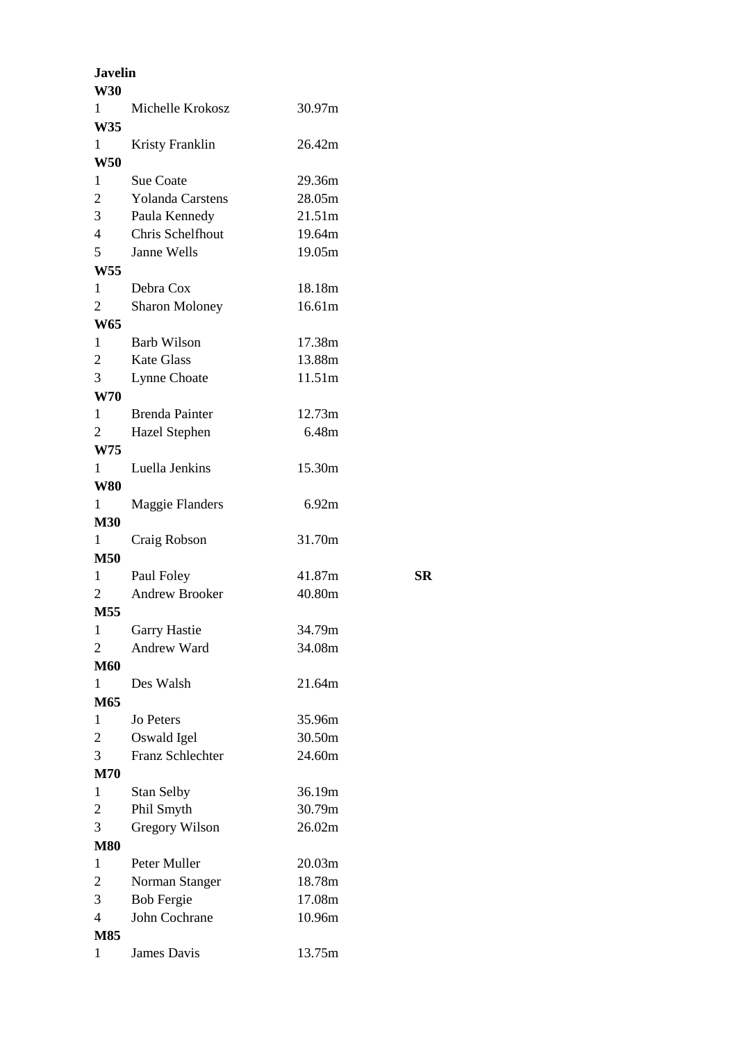| <b>Javelin</b>               |                         |        |    |
|------------------------------|-------------------------|--------|----|
| <b>W30</b>                   |                         |        |    |
| $1 \quad \Box$<br><b>W35</b> | Michelle Krokosz        | 30.97m |    |
| $\mathbf{1}$                 | Kristy Franklin         | 26.42m |    |
| <b>W50</b>                   |                         |        |    |
| $\mathbf{1}$                 | <b>Sue Coate</b>        | 29.36m |    |
| $\overline{c}$               | <b>Yolanda Carstens</b> | 28.05m |    |
| 3                            | Paula Kennedy           | 21.51m |    |
| $\overline{4}$               | Chris Schelfhout        | 19.64m |    |
| 5                            | Janne Wells             | 19.05m |    |
| <b>W55</b>                   |                         |        |    |
| $\mathbf{1}$                 | Debra Cox               | 18.18m |    |
| 2                            | <b>Sharon Moloney</b>   | 16.61m |    |
| <b>W65</b>                   |                         |        |    |
| $\mathbf{1}$                 | <b>Barb Wilson</b>      | 17.38m |    |
| $\overline{2}$               | <b>Kate Glass</b>       | 13.88m |    |
| 3                            | Lynne Choate            | 11.51m |    |
| W70                          |                         |        |    |
| $\mathbf{1}$                 | <b>Brenda Painter</b>   | 12.73m |    |
| $\overline{2}$               | <b>Hazel Stephen</b>    | 6.48m  |    |
| W75                          |                         |        |    |
| $1 \quad \Box$               | Luella Jenkins          | 15.30m |    |
| <b>W80</b>                   |                         |        |    |
| $\mathbf{1}$                 | <b>Maggie Flanders</b>  | 6.92m  |    |
| <b>M30</b><br>$\mathbf{1}$   |                         | 31.70m |    |
| M50                          | Craig Robson            |        |    |
| 1                            | Paul Foley              | 41.87m | SR |
| $\mathbf{2}$                 | <b>Andrew Brooker</b>   | 40.80m |    |
| M55                          |                         |        |    |
| 1                            | <b>Garry Hastie</b>     | 34.79m |    |
| 2                            | Andrew Ward             | 34.08m |    |
| <b>M60</b>                   |                         |        |    |
| 1                            | Des Walsh               | 21.64m |    |
| M65                          |                         |        |    |
| $\mathbf{1}$                 | Jo Peters               | 35.96m |    |
| $\overline{c}$               | Oswald Igel             | 30.50m |    |
| 3                            | Franz Schlechter        | 24.60m |    |
| <b>M70</b>                   |                         |        |    |
| 1                            | <b>Stan Selby</b>       | 36.19m |    |
| $\overline{c}$               | Phil Smyth              | 30.79m |    |
| 3                            | <b>Gregory Wilson</b>   | 26.02m |    |
| <b>M80</b>                   |                         |        |    |
| 1                            | Peter Muller            | 20.03m |    |
| $\overline{2}$               | Norman Stanger          | 18.78m |    |
| 3                            | <b>Bob Fergie</b>       | 17.08m |    |
| $\overline{4}$               | John Cochrane           | 10.96m |    |
| M85                          |                         |        |    |
| 1                            | James Davis             | 13.75m |    |

| ٦<br>۰,<br>٧ |
|--------------|
|              |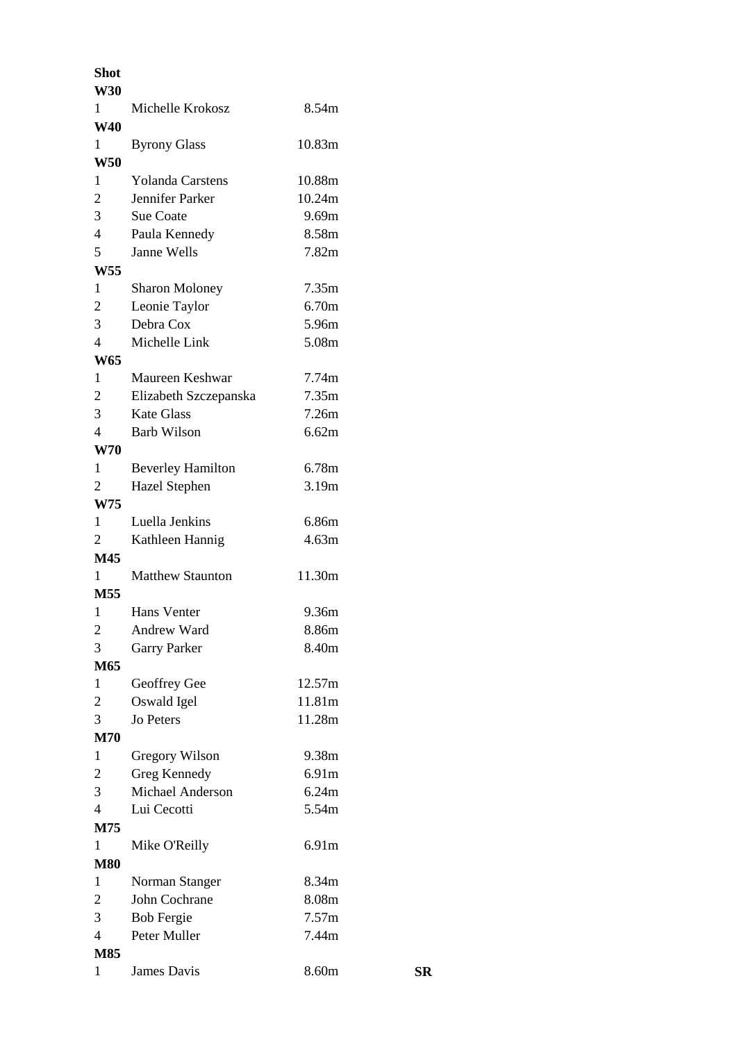| <b>Shot</b>              |                          |        |    |
|--------------------------|--------------------------|--------|----|
| <b>W30</b>               |                          |        |    |
| 1                        | Michelle Krokosz         | 8.54m  |    |
| <b>W40</b>               |                          |        |    |
| $\mathbf{1}$             | <b>Byrony Glass</b>      | 10.83m |    |
| <b>W50</b>               |                          |        |    |
| 1                        | <b>Yolanda Carstens</b>  | 10.88m |    |
| $\overline{c}$           | Jennifer Parker          | 10.24m |    |
| 3                        | <b>Sue Coate</b>         | 9.69m  |    |
| $\overline{4}$           | Paula Kennedy            | 8.58m  |    |
| 5                        | Janne Wells              | 7.82m  |    |
| <b>W55</b>               |                          |        |    |
| 1                        | <b>Sharon Moloney</b>    | 7.35m  |    |
| 2                        | Leonie Taylor            | 6.70m  |    |
| 3                        | Debra Cox                | 5.96m  |    |
| $\overline{\mathcal{A}}$ | Michelle Link            | 5.08m  |    |
| <b>W65</b>               |                          |        |    |
| 1                        | Maureen Keshwar          | 7.74m  |    |
| 2                        | Elizabeth Szczepanska    | 7.35m  |    |
| 3                        | <b>Kate Glass</b>        | 7.26m  |    |
| $\overline{\mathcal{A}}$ | <b>Barb Wilson</b>       | 6.62m  |    |
| <b>W70</b>               |                          |        |    |
| 1                        | <b>Beverley Hamilton</b> | 6.78m  |    |
| $\overline{2}$           | Hazel Stephen            | 3.19m  |    |
| W75                      |                          |        |    |
| 1                        | Luella Jenkins           | 6.86m  |    |
| 2                        | Kathleen Hannig          | 4.63m  |    |
| M45                      |                          |        |    |
| 1                        | <b>Matthew Staunton</b>  | 11.30m |    |
| M55                      |                          |        |    |
| 1                        | Hans Venter              | 9.36m  |    |
| $\overline{c}$           | Andrew Ward              | 8.86m  |    |
| 3                        | <b>Garry Parker</b>      | 8.40m  |    |
| M65                      |                          |        |    |
| 1                        | Geoffrey Gee             | 12.57m |    |
| 2                        | Oswald Igel              | 11.81m |    |
| 3                        | Jo Peters                | 11.28m |    |
| <b>M70</b>               |                          |        |    |
| 1                        | Gregory Wilson           | 9.38m  |    |
| 2                        | Greg Kennedy             | 6.91m  |    |
| 3                        | Michael Anderson         | 6.24m  |    |
| $\overline{\mathcal{A}}$ | Lui Cecotti              | 5.54m  |    |
| M75                      |                          |        |    |
| 1                        | Mike O'Reilly            | 6.91m  |    |
| <b>M80</b>               |                          |        |    |
| 1                        | Norman Stanger           | 8.34m  |    |
| 2                        | John Cochrane            | 8.08m  |    |
| 3                        | <b>Bob Fergie</b>        | 7.57m  |    |
| 4                        | Peter Muller             | 7.44m  |    |
| M85                      |                          |        |    |
| 1                        | James Davis              | 8.60m  | SR |
|                          |                          |        |    |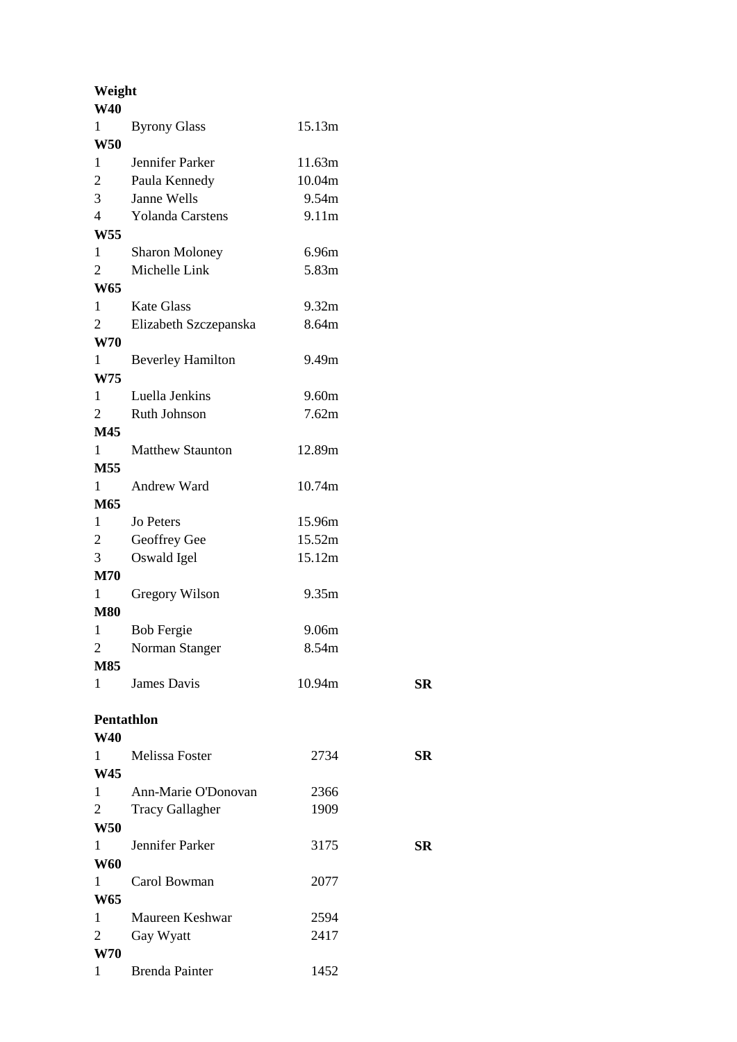**Weight W40** 1 Byrony Glass 15.13m **W50** 1 Jennifer Parker 11.63m 2 Paula Kennedy 10.04m 3 Janne Wells 9.54m 4 Yolanda Carstens 9.11m **W55** 1 Sharon Moloney 6.96m 2 Michelle Link 5.83m **W65** 1 Kate Glass 9.32m 2 Elizabeth Szczepanska 8.64m **W70** 1 Beverley Hamilton 9.49m **W75** 1 Luella Jenkins 9.60m 2 Ruth Johnson 7.62m **M45** 1 Matthew Staunton 12.89m **M55** 1 Andrew Ward 10.74m **M65** 1 Jo Peters 15.96m 2 Geoffrey Gee 15.52m 3 Oswald Igel 15.12m **M70** 1 Gregory Wilson 9.35m **M80** 1 Bob Fergie 9.06m 2 Norman Stanger 8.54m **M85** 1 James Davis 10.94m **SR Pentathlon W40** 1 Melissa Foster 2734 **SR W45** 1 Ann-Marie O'Donovan 2366 2 Tracy Gallagher 1909 **W50** 1 Jennifer Parker 3175 **SR W60** 1 Carol Bowman 2077 **W65** 1 Maureen Keshwar 2594 2 Gay Wyatt 2417 **W70** 1 Brenda Painter 1452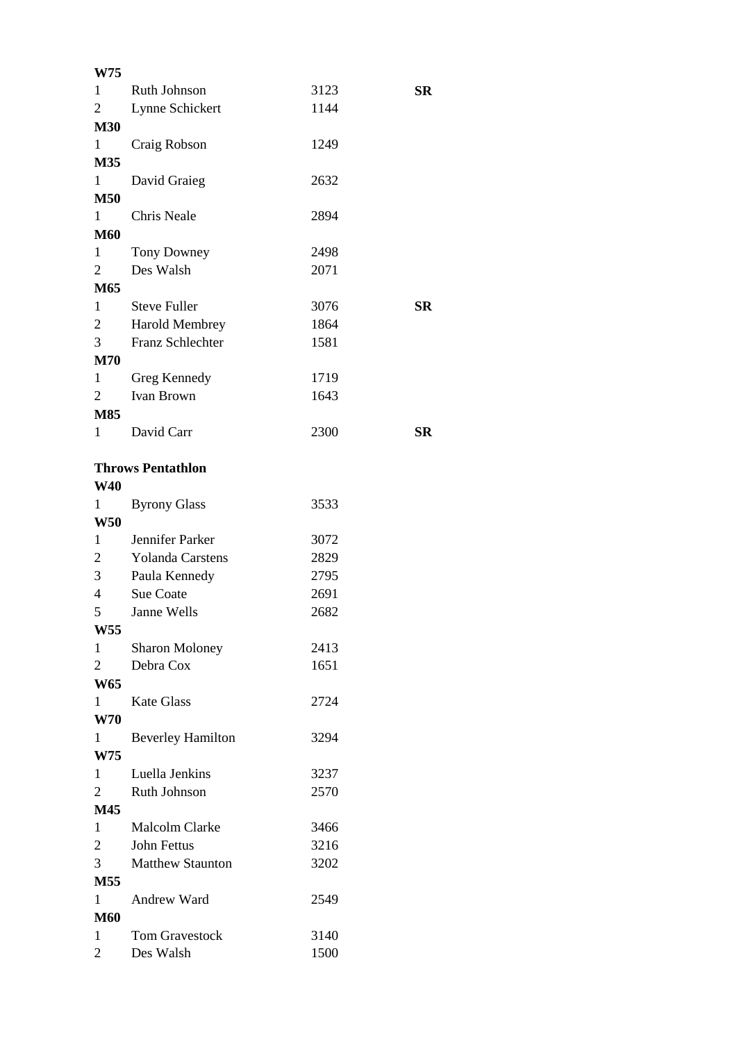| W75                    |                          |      |           |
|------------------------|--------------------------|------|-----------|
| $1 \quad$              | Ruth Johnson             | 3123 | <b>SR</b> |
| $\overline{2}$         | Lynne Schickert          | 1144 |           |
| <b>M30</b>             |                          |      |           |
| $\mathbf{1}$           | Craig Robson             | 1249 |           |
| M35                    |                          |      |           |
| $\mathbf{1}$           | David Graieg             | 2632 |           |
| <b>M50</b>             |                          |      |           |
| $1 \quad$              | <b>Chris Neale</b>       | 2894 |           |
| M60                    |                          |      |           |
| 1                      | Tony Downey              | 2498 |           |
| $\overline{2}$         | Des Walsh                | 2071 |           |
| M65                    |                          |      |           |
|                        |                          |      |           |
| $1 \quad$              | <b>Steve Fuller</b>      | 3076 | <b>SR</b> |
| $\overline{2}$         | <b>Harold Membrey</b>    | 1864 |           |
| 3 <sup>7</sup>         | Franz Schlechter         | 1581 |           |
| M70                    |                          |      |           |
| $\mathbf{1}$           | Greg Kennedy             | 1719 |           |
| 2                      | <b>Ivan Brown</b>        | 1643 |           |
| <b>M85</b>             |                          |      |           |
| $\mathbf{1}$           | David Carr               | 2300 | <b>SR</b> |
|                        | <b>Throws Pentathlon</b> |      |           |
| <b>W40</b>             |                          |      |           |
| 1                      | <b>Byrony Glass</b>      | 3533 |           |
| <b>W50</b>             |                          |      |           |
|                        |                          |      |           |
| $\mathbf{1}$           | Jennifer Parker          |      |           |
|                        |                          | 3072 |           |
| $\overline{c}$         | <b>Yolanda Carstens</b>  | 2829 |           |
| 3                      | Paula Kennedy            | 2795 |           |
| $\overline{4}$         | <b>Sue Coate</b>         | 2691 |           |
| 5                      | Janne Wells              | 2682 |           |
| <b>W55</b>             |                          |      |           |
| $1 \quad \blacksquare$ | <b>Sharon Moloney</b>    | 2413 |           |
|                        | 2 Debra Cox              | 1651 |           |
| <b>W65</b>             |                          |      |           |
| $1 \quad \blacksquare$ | <b>Kate Glass</b>        | 2724 |           |
| <b>W70</b>             |                          |      |           |
| $1 \quad \Box$         | <b>Beverley Hamilton</b> | 3294 |           |
| W75                    |                          |      |           |
|                        | 1 Luella Jenkins         | 3237 |           |
|                        | 2 Ruth Johnson           | 2570 |           |
| M45                    |                          |      |           |
|                        | 1 Malcolm Clarke         | 3466 |           |
| $\overline{2}$         | John Fettus              | 3216 |           |
| 3 <sup>7</sup>         | <b>Matthew Staunton</b>  | 3202 |           |
| M55                    |                          |      |           |
| $1 \quad$              | Andrew Ward              | 2549 |           |

 Tom Gravestock 3140 Des Walsh 1500